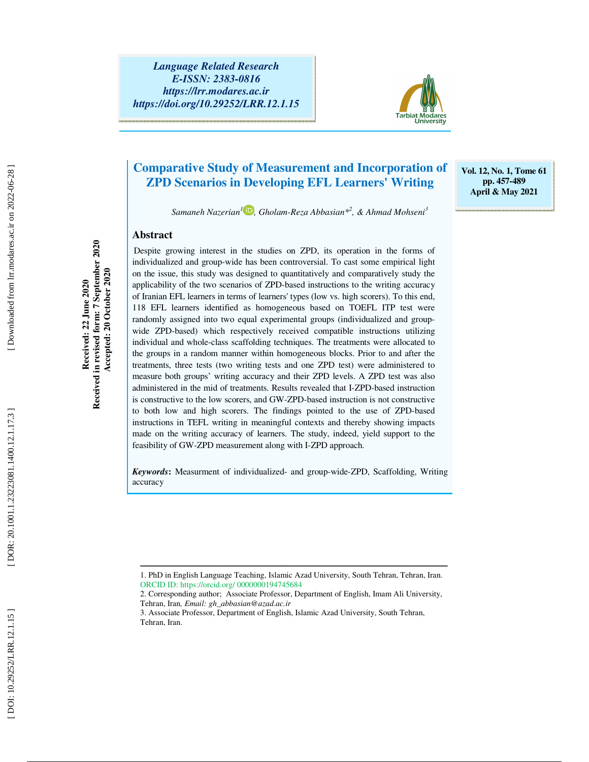DOR: 20.1001.1.23223081.1400.12.1.17.3

*Language Related Research E-ISSN: 2383-0816 https://lrr.modares.ac.ir https://doi.org/10.29252/LRR.12.1.15* 



**Vol. 12, No. 1, Tome 61 pp. 457-489 April & May 2021** 

### **Comparative Study of Measurement and Incorporation of ZPD Scenarios in Developing EFL Learners' Writing**

*Samaneh Nazerian 1 , Gholam-Reza Abbasian\* 2 , & Ahmad Mohseni 3*

#### **Abstract**

**Received: 22 June 2020 Received in revised form: 7 September 2020 Accepted: 20 October 2020** 

Received: 22 June 2020

Received in revised form: 7 September 2020 Accepted: 20 October 2020

Despite growing interest in the studies on ZPD, its operation in the forms of individualized and group-wide has been controversial. To cast some empirical light on the issue, this study was designed to quantitatively and comparatively study the applicability of the two scenarios of ZPD-based instructions to the writing accuracy of Iranian EFL learners in terms of learners' types (low vs. high scorers). To this end, 118 EFL learners identified as homogeneous based on TOEFL ITP test were randomly assigned into two equal experimental groups (individualized and groupwide ZPD-based) which respectively received compatible instructions utilizing individual and whole-class scaffolding techniques. The treatments were allocated to the groups in a random manner within homogeneous blocks. Prior to and after the treatments, three tests (two writing tests and one ZPD test) were administered to measure both groups' writing accuracy and their ZPD levels. A ZPD test was also administered in the mid of treatments. Results revealed that I-ZPD-based instruction is constructive to the low scorers, and GW-ZPD-based instruction is not constructive to both low and high scorers. The findings pointed to the use of ZPD-based instructions in TEFL writing in meaningful contexts and thereby showing impacts made on the writing accuracy of learners. The study, indeed, yield support to the feasibility of GW-ZPD measurement along with I-ZPD approach.

*Keywords***:** Measurment of individualized- and group-wide-ZPD, Scaffolding, Writing accuracy

ــــــــــــــــــــــــــــــــــــــــــــــــــــــــــــــــــــــــــــــــــــــــــــــــــــــــــــــــــــــــــــــــــــــــــ

<sup>1.</sup> PhD in English Language Teaching, Islamic Azad University, South Tehran, Tehran, Iran. ORCID ID: https://orcid.org/ 0000000194745684

<sup>2.</sup> Corresponding author; Associate Professor, Department of English, Imam Ali University, Tehran, Iran*, Email: gh\_abbasian@azad.ac.ir*

<sup>3.</sup> Associate Professor, Department of English, Islamic Azad University, South Tehran, Tehran, Iran.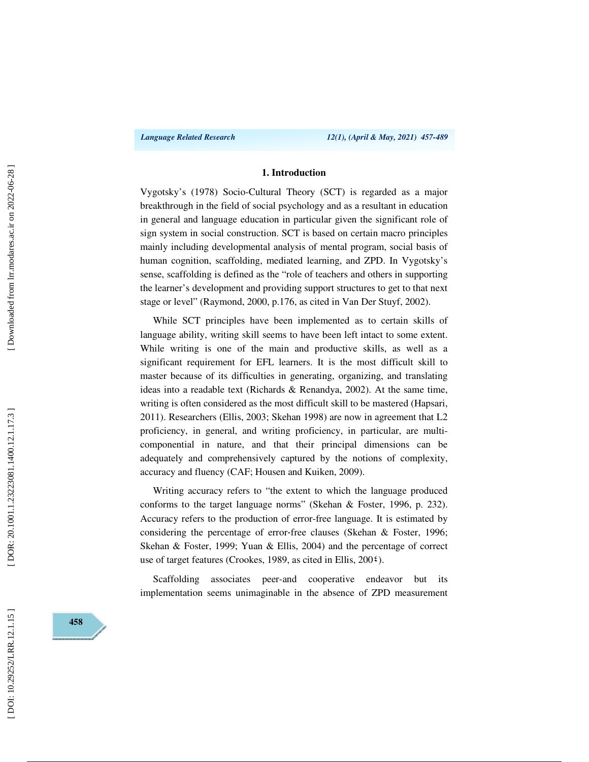#### **1. Introduction**

Vygotsky's (1978) Socio-Cultural Theory (SCT) is regarded as a major breakthrough in the field of social psychology and as a resultant in education in general and language education in particular given the significant role of sign system in social construction. SCT is based on certain macro principles mainly including developmental analysis of mental program, social basis of human cognition, scaffolding, mediated learning, and ZPD. In Vygotsky's sense, scaffolding is defined as the "role of teachers and others in supporting the learner's development and providing support structures to get to that next stage or level" (Raymond, 2000, p.176, as cited in Van Der Stuyf, 2002).

While SCT principles have been implemented as to certain skills of language ability, writing skill seems to have been left intact to some extent. While writing is one of the main and productive skills, as well as a significant requirement for EFL learners. It is the most difficult skill to master because of its difficulties in generating, organizing, and translating ideas into a readable text (Richards & Renandya, 2002). At the same time, writing is often considered as the most difficult skill to be mastered (Hapsari, 2011). Researchers (Ellis, 2003; Skehan 1998) are now in agreement that L2 proficiency, in general, and writing proficiency, in particular, are multicomponential in nature, and that their principal dimensions can be adequately and comprehensively captured by the notions of complexity, accuracy and fluency (CAF; Housen and Kuiken, 2009).

Writing accuracy refers to "the extent to which the language produced conforms to the target language norms" (Skehan & Foster, 1996, p. 232). Accuracy refers to the production of error-free language. It is estimated by considering the percentage of error-free clauses (Skehan & Foster, 1996; Skehan & Foster, 1999; Yuan & Ellis, 2004) and the percentage of correct use of target features (Crookes, 1989, as cited in Ellis, 200 ٤).

Scaffolding associates peer-and cooperative endeavor but its implementation seems unimaginable in the absence of ZPD measurement

**458**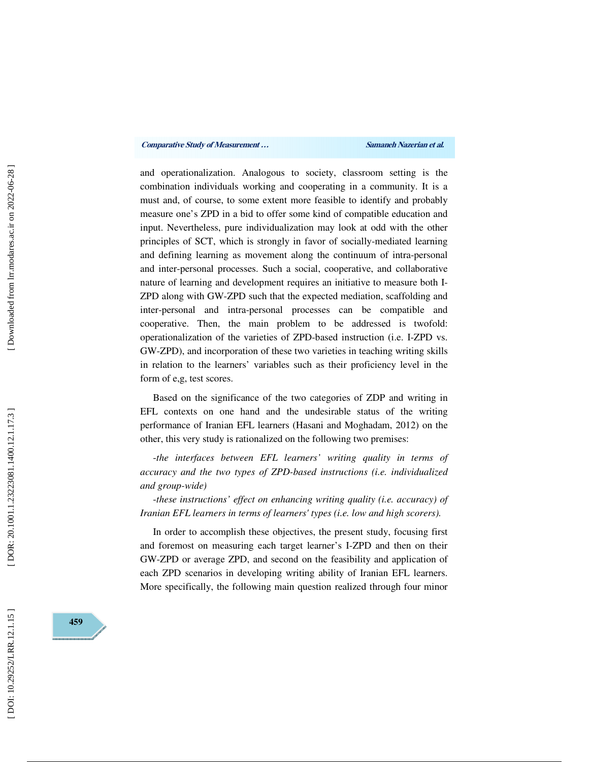and operationalization. Analogous to society, classroom setting is the combination individuals working and cooperating in a community. It is a must and, of course, to some extent more feasible to identify and probably measure one's ZPD in a bid to offer some kind of compatible education and input. Nevertheless, pure individualization may look at odd with the other principles of SCT, which is strongly in favor of socially-mediated learning and defining learning as movement along the continuum of intra-personal and inter-personal processes. Such a social, cooperative, and collaborative nature of learning and development requires an initiative to measure both I-ZPD along with GW-ZPD such that the expected mediation, scaffolding and inter-personal and intra-personal processes can be compatible and cooperative. Then, the main problem to be addressed is twofold: operationalization of the varieties of ZPD-based instruction (i.e. I-ZPD vs. GW-ZPD), and incorporation of these two varieties in teaching writing skills in relation to the learners' variables such as their proficiency level in the form of e,g, test scores.

Based on the significance of the two categories of ZDP and writing in EFL contexts on one hand and the undesirable status of the writing performance of Iranian EFL learners (Hasani and Moghadam, 2012) on the other, this very study is rationalized on the following two premises:<br>*-the interfaces between EFL learners' writing quality in terms of* 

*accuracy and the two types of ZPD-based instructions (i.e. individualized and group-wide)* 

-*these instructions' effect on enhancing writing quality (i.e. accuracy) of Iranian EFL learners in terms of learners' types (i.e. low and high scorers).* 

In order to accomplish these objectives, the present study, focusing first and foremost on measuring each target learner's I-ZPD and then on their GW-ZPD or average ZPD, and second on the feasibility and application of each ZPD scenarios in developing writing ability of Iranian EFL learners. More specifically, the following main question realized through four minor

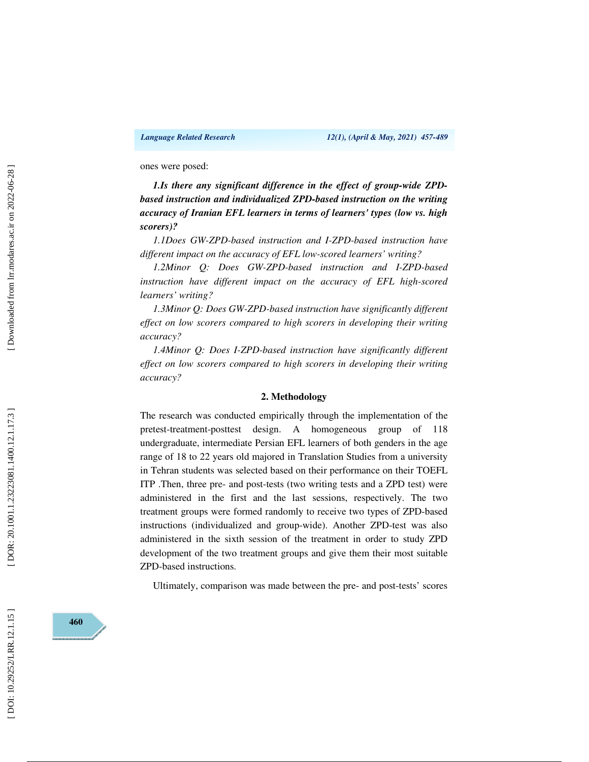ones were posed:

*1.Is there any significant difference in the effect of group-wide ZPDbased instruction and individualized ZPD-based instruction on the writing accuracy of Iranian EFL learners in terms of learners' types (low vs. high scorers)?* 

*1.1Does GW-ZPD-based instruction and I-ZPD-based instruction have different impact on the accuracy of EFL low-scored learners' writing?* 

*1.2Minor Q: Does GW-ZPD-based instruction and I-ZPD-based*  instruction have different impact on the accuracy of EFL high-scored *learners' writing?* 

*1.3Minor Q: Does GW-ZPD-based instruction have significantly different effect on low scorers compared to high scorers in developing their writing accuracy?* 

*1.4Minor Q: Does I-ZPD-based instruction have significantly different effect on low scorers compared to high scorers in developing their writing accuracy?* 

#### **2. Methodology**

The research was conducted empirically through the implementation of the pretest-treatment-posttest design. A homogeneous group of 118 undergraduate, intermediate Persian EFL learners of both genders in the age range of 18 to 22 years old majored in Translation Studies from a university in Tehran students was selected based on their performance on their TOEFL ITP .Then, three pre- and post-tests (two writing tests and a ZPD test) were administered in the first and the last sessions, respectively. The two treatment groups were formed randomly to receive two types of ZPD-based instructions (individualized and group-wide). Another ZPD-test was also administered in the sixth session of the treatment in order to study ZPD development of the two treatment groups and give them their most suitable ZPD-based instructions.

Ultimately, comparison was made between the pre- and post-tests' scores

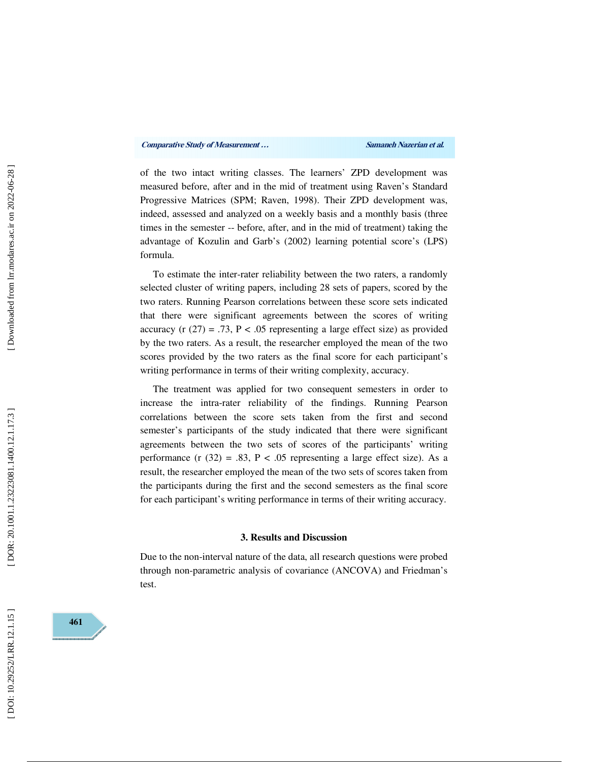of the two intact writing classes. The learners' ZPD development was measured before, after and in the mid of treatment using Raven's Standard Progressive Matrices (SPM; Raven, 1998). Their ZPD development was, indeed, assessed and analyzed on a weekly basis and a monthly basis (three times in the semester -- before, after, and in the mid of treatment) taking the advantage of Kozulin and Garb's (2002) learning potential score's (LPS) formula.

To estimate the inter-rater reliability between the two raters, a randomly selected cluster of writing papers, including 28 sets of papers, scored by the two raters. Running Pearson correlations between these score sets indicated that there were significant agreements between the scores of writing accuracy (r  $(27) = .73$ , P < .05 representing a large effect size) as provided by the two raters. As a result, the researcher employed the mean of the two scores provided by the two raters as the final score for each participant's writing performance in terms of their writing complexity, accuracy.

The treatment was applied for two consequent semesters in order to increase the intra-rater reliability of the findings. Running Pearson correlations between the score sets taken from the first and second semester's participants of the study indicated that there were significant agreements between the two sets of scores of the participants' writing performance (r  $(32) = .83$ , P < .05 representing a large effect size). As a result, the researcher employed the mean of the two sets of scores taken from the participants during the first and the second semesters as the final score for each participant's writing performance in terms of their writing accuracy.

#### **3. Results and Discussion**

Due to the non-interval nature of the data, all research questions were probed through non-parametric analysis of covariance (ANCOVA) and Friedman's test.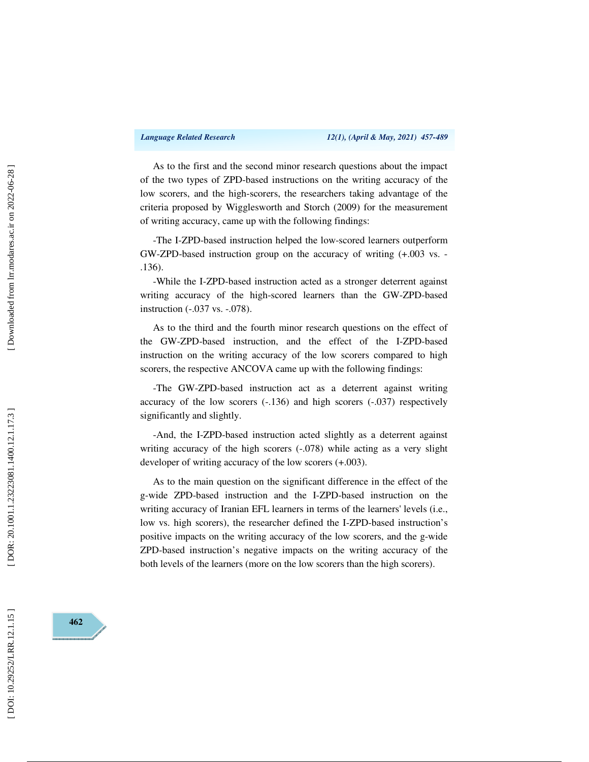As to the first and the second minor research questions about the impact of the two types of ZPD-based instructions on the writing accuracy of the low scorers, and the high-scorers, the researchers taking advantage of the criteria proposed by Wigglesworth and Storch (2009) for the measurement of writing accuracy, came up with the following findings:

-The I-ZPD-based instruction helped the low-scored learners outperform GW-ZPD-based instruction group on the accuracy of writing (+.003 vs. - .136).

-While the I-ZPD-based instruction acted as a stronger deterrent against writing accuracy of the high-scored learners than the GW-ZPD-based instruction (-.037 vs. -.078).

As to the third and the fourth minor research questions on the effect of the GW-ZPD-based instruction, and the effect of the I-ZPD-based instruction on the writing accuracy of the low scorers compared to high scorers, the respective ANCOVA came up with the following findings:

-The GW-ZPD-based instruction act as a deterrent against writing accuracy of the low scorers (-.136) and high scorers (-.037) respectively significantly and slightly.

-And, the I-ZPD-based instruction acted slightly as a deterrent against writing accuracy of the high scorers  $(-.078)$  while acting as a very slight developer of writing accuracy of the low scorers (+.003).

As to the main question on the significant difference in the effect of the g-wide ZPD-based instruction and the I-ZPD-based instruction on the writing accuracy of Iranian EFL learners in terms of the learners' levels (i.e., low vs. high scorers), the researcher defined the I-ZPD-based instruction's positive impacts on the writing accuracy of the low scorers, and the g-wide ZPD-based instruction's negative impacts on the writing accuracy of the both levels of the learners (more on the low scorers than the high scorers).



DOR: 20.1001.1.23223081.1400.12.1.17.3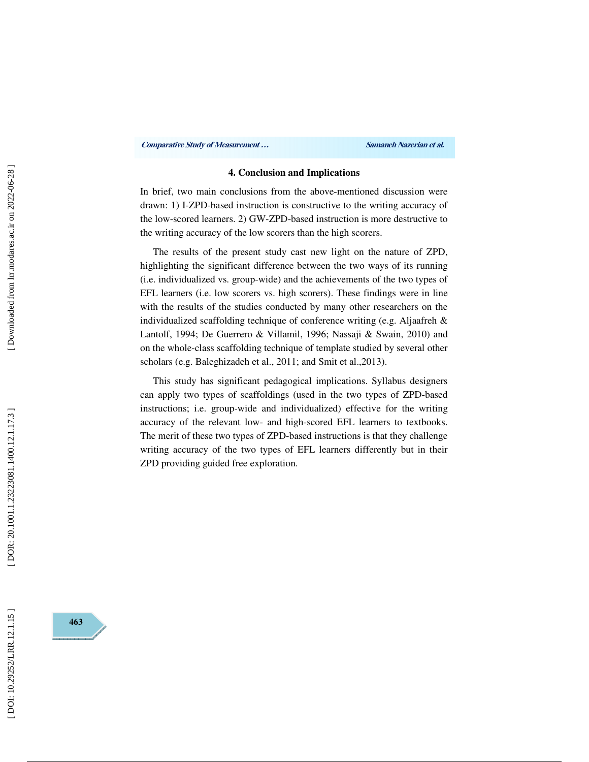#### **4. Conclusion and Implications**

In brief, two main conclusions from the above-mentioned discussion were drawn: 1) I-ZPD-based instruction is constructive to the writing accuracy of the low-scored learners. 2) GW-ZPD-based instruction is more destructive to the writing accuracy of the low scorers than the high scorers.

The results of the present study cast new light on the nature of ZPD, highlighting the significant difference between the two ways of its running (i.e. individualized vs. group-wide) and the achievements of the two types of EFL learners (i.e. low scorers vs. high scorers). These findings were in line with the results of the studies conducted by many other researchers on the individualized scaffolding technique of conference writing (e.g. Aljaafreh & Lantolf, 1994; De Guerrero & Villamil, 1996; Nassaji & Swain, 2010) and on the whole-class scaffolding technique of template studied by several other scholars (e.g. Baleghizadeh et al., 2011; and Smit et al.,2013).

This study has significant pedagogical implications. Syllabus designers can apply two types of scaffoldings (used in the two types of ZPD-based instructions; i.e. group-wide and individualized) effective for the writing accuracy of the relevant low- and high-scored EFL learners to textbooks. The merit of these two types of ZPD-based instructions is that they challenge writing accuracy of the two types of EFL learners differently but in their ZPD providing guided free exploration.

**463**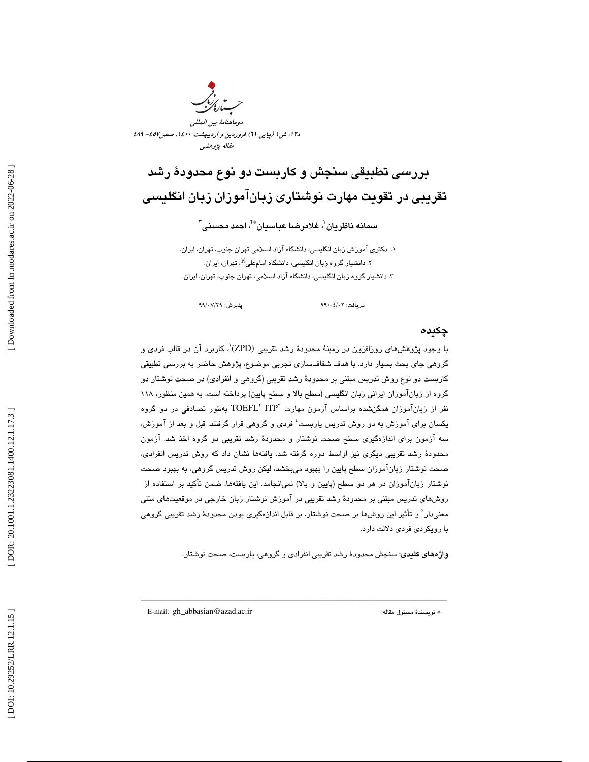

### بررسي تطبيقي سنجش و كاربست دو نوع محدود ة رشد تقريبي در تقويت مهارت نوشتاري زبانآموزان زبان انگليسي

سمانه ناظريان $'$ ، غلامرضا عباسيان $^{\ast}$ ، احمد محسنى $^{\ast}$ 

. دكتري آموزش زبان انگليسي، دانشگاه آزاد اسلامي تهران جنوب، تهران، ايران. 1 ۲. دانشیار گروه زبان انگلیسی، دانشگاه امامعلی<sup>(ع)</sup>، تهران، ایران. ۳. دانشيار گروه زبان انگليسي، دانشگاه ازاد اسلامي، تهران جنوب، تهران، ايران.

دريافت: 02/ 04/ 99 پذيرش: 29/ 07/ 99

#### چكيده

با وجود پژوهشهای روزافزون در زمینهٔ محدودهٔ رشد تقریبی (ZPD)'، کاربرد آن در قالب فردی و گروهي جاي بحث بسيار دارد. با هدف شفافسازي تجربي موضوع، پژوهش حاضر به بررسي تطبيقي كاربست دو نوع روش تدريس مبتني بر محدودهٔ رشد تقريبي (گروهي و انفرادي) در صحت نوشتار دو گروه از زباناموزان ايراني زبان انگليسي (سطح بالا و سطح پايين) پرداخته است. به همين منظور، ۱۱۸ نفر از زبانآموزان همگنشده براساس آزمون مهارت "TOEFL ITP بهطور تصادفی در دو گروه يكسان براى آموزش به دو روش تدريس ياربست<sup>؛</sup> فردى و گروهى قرار گرفتند. قبل و بعد از آموزش، سه آزمون براي اندازهگيري سطح صحت نوشتار و محدود ة رشد تقريبي دو گروه اخذ شد. آزمون محدودهٔ رشد تقريبي ديگري نيز اواسط دوره گرفته شد. يافتهها نشان داد كه روش تدريس انفرادي، صحت نوشتار زبانآموزان سطح پايين را بهبود ميبخشد، ليكن روش تدريس گروهي، به بهبود صحت نوشتار زبانآموزان در هر دو سطح (پایین و بالا) نمی|نجامد. این یافتهها، ضمن تأکید بر استفاده از روشهاي تدريس مبتني بر محدودهٔ رشد تقريبي در آموزش نوشتار زبان خارجي در موقعيتهاي متني معنيدار ْ و تأثير اين روشها بر صحت نوشتار، بر قابل اندازهگيري بودن محدودهٔ رشد تقريبي گروهي با رويكردي فردي دلالت دارد.

**واژههاي كليدي**: سنجش محدودهٔ رشد تقريبي انفرادي و گروهي، ياربست، صحت نوشتار.

ـــــــــــــــــــــــــــــــــــــــــــــــــــــــــــــــــــــــــــــ ـــــــــــ ـــــــــــــــــــــــــــــــــــــــــــــــــــــــــــ

E-mail: gh\_abbasian@azad.ac.ir :مقاله مسئول نويسندة\*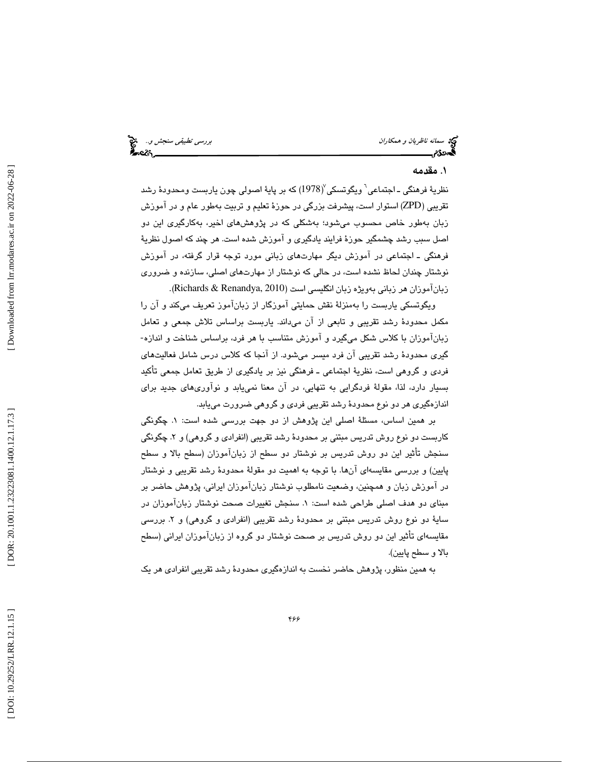سمانه *ناظريان و همكاران بهجت المسانه ناظريان و همكاران* بررسي تطبيقي سنج*ش و..*. هيچ<br>**بهج**معدگان بررسي تصوير المساني بررسي تصوير المسائل المسائل المسائل المسائل المسائل المسائل المسائل المسائل المس

#### . 1 مقدمه

نظريهٔ فرهنگی ـ اجتماعی<sup>٦</sup> ویگوتسکی $\langle 1978nangle$  که بر پايهٔ اصولی چون ياربست ومحدودهٔ رشد تقريبي ( ZPD (استوار است، پيشرفت بزرگي در حوزة تعليم و تربيت بهطور عام و در آموزش زبان به طور خاص محسوب ميشود؛ بهشكلي كه در پژوهشهاي اخير، بهكارگيري اين دو اصل سبب رشد چشمگير حوزهٔ فرايند يادگيری و اموزش شده است. هر چند که اصول نظريهٔ فرهنگي ـ اجتماعي در آموزش ديگر مهارتهاي زباني مورد توجه قرار گرفته، در آموزش نوشتار چندان لحاظ نشده است، در حالي كه نوشتار از مهارتهاي اصلي ، سازنده و ضروري . (Richards & Renandya, 2010 زبانآموزان هر زباني بهويژه زبان انگليسي است (

ويگوتسكي ياربست را بهمنزلة نقش حمايتي آموزگار از زبانآموز تعريف ميكند و آن را مکمل محدودهٔ رشد تقریبی و تابعی از آن میداند. یاربست براساس تلاش جمعی و تعامل<br>زبانآموزان با کلاس شکل میگیرد و آموزش متناسب با هر فرد، براساس شناخت و اندازه-گيري محدود ة رشد تقريبي آن فرد ميسر ميشود. از آنجا كه كلاس درس شامل فعاليتهاي فردي و گروهي است، نظري ة اجتماعي ـ فرهنگي نيز بر يادگيري از طريق تعامل جمعي تأكيد بسيار دارد، لذا، مقولة فردگرايي به تنهايي، در آن معنا نمييابد و نوآوريهاي جديد براي اندازهگيري هر دو نوع محدود ة رشد تقريبي فردي و گروهي ضرورت مييابد.

بر همین اساس، مسئلهٔ اصلی این پژوهش از دو جهت بررسی شده است: ۱. چگونگی كاربست دو نوع روش تدريس مبتني بر محدودهٔ رشد تقريبي (انفرادي و گروهي) و ۲. چگونگي سنجش تأثير اين دو روش تدريس بر نوشتار دو سطح از زبانآموزان (سطح بالا و سطح پايين) و بررسي مقايسهاي آنها. با توجه به اهميت دو مقولة محدود ة رشد تقريبي و نوشتار در آموزش زبان و همچنين ، وضعيت نامطلوب نوشتار زبانآموزان ايراني ، پژوهش حاضر بر مبناي دو هدف اصلي طراحي شده است: ١. سنجش تغييرات صحت نوشتار زبانآموزان در سايهٔ دو نوع روش تدريس مبتني بر محدودهٔ رشد تقريبي (انفرادي و گروهي) و ۲. بررسي مقايسهای تأثير اين دو روش تدريس بر صحت نوشتار دو گروه از زباناموزان ايراني (سطح بالا و سطح پايين) .

به همين منظور، پژوهش حاضر نخست به اندازهگيري محدودهٔ رشد تقريبي انفرادي هر يک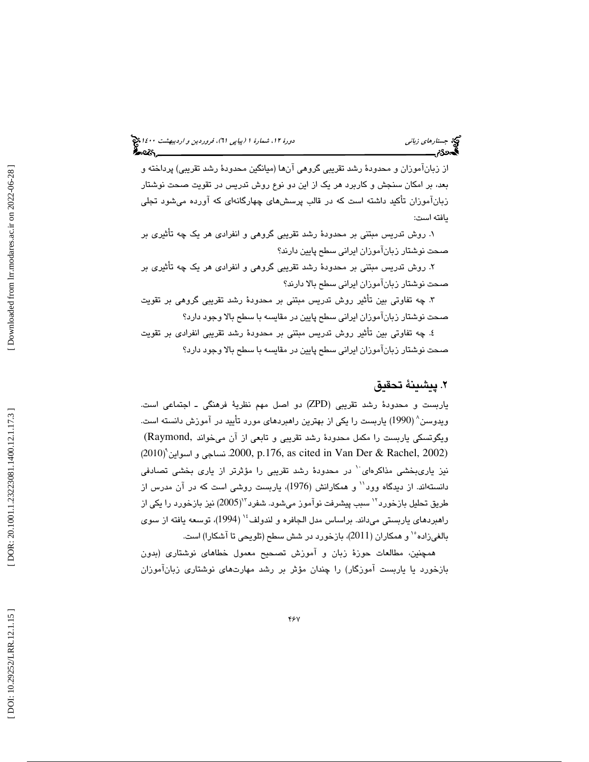### (پياپي 61)، فروردين و ارديبهشت 1400 جستارهاي زباني دورة ،12 شمارة 1

از زبانآموزان و محدودهٔ رشد تقريبي گروهي آنها (ميانگين محدودهٔ رشد تقريبي) پرداخته و بعد، بر امكان سنجش و كاربرد هر يك از اين دو نوع روش تدريس در تقويت صحت نوشتار زبانآموزان تأكيد داشته است كه در قالب پرسشهاي چهارگانهاي كه آورده ميشود تجلي يافته است:

۱. روش تدريس مبتني بر محدودهٔ رشد تقريبي گروهي و انفرادي هر يک چه تاثيري بر صحت نوشتار زبانآموزان ايراني سطح پايين دارند؟

۲. روش تدریس مبتنی بر محدودهٔ رشد تقریبی گروهی و انفرادی هر یک چه تأثیری بر صحت نوشتار زبانآموزان ايراني سطح بالا دارند؟

۳. چه تفاوتی بين تأثير روش تدريس مبتنی بر محدودهٔ رشد تقريبي گروهی بر تقويت صحت نوشتار زبانآموزان ايراني سطح پايين در مقايسه با سطح بالا وجود دارد؟

٤. چه تفاوتي بين تأثير روش تدريس مبتني بر محدودهٔ رشد تقريبي انفرا*دي* بر تقويت صحت نوشتار زبانآموزان ايراني سطح پايين در مقايسه با سطح بالا وجود دارد؟

#### . پيشينة تحقيق 2

ياربست و محدودهٔ رشد تقريبي (ZPD) دو اصل مهم نظريهٔ فرهنگي ـ اجتماعي است. ويدوسن 8 ( 1990 ) ياربست را يكي از بهترين راهبردهاي مورد تأييد در آموزش دانسته است. ویگوتسکی یاربست را مکمل محدودهٔ رشد تقریبی و تابعی از آن میخواند ,Raymond( ا و سواين نساجي .2000, p.176, as cited in Van Der & Rachel, 2002) 9 (2010 ) نيز يارىبخشى مذاكرهاى<sup>.\</sup> در محدودهٔ رشد تقريبي را مؤثرتر از يارى بخشى تصادفى دانستهاند. از ديدگاه وود<sup>۱۱</sup> و همكارانش (1976)، ياربست روشي است كه در آن مدرس از طريق تحليل بازخورد<sup>۱۲</sup> سبب پيشرفت نوآموز مىشود. شفرد<sup>۱۳</sup>(2005) نيز بازخورد را يكى از راهبردهای یاربستی میداند. براساس مدل الجافره و لندولف<sup>،</sup>' (1994)، توسعه یافته از سوی بالغیزاده ْ` و همکاران (2011)، بازخورد در شش سطح (تلویحی تا آشکارا) است.

همچنين ، مطالعات حوز ة زبان و آموزش تصحيح معمول خطاهاي نوشتاري (بدون 8 بازخورد يا ياربست آموزگار) را چندان مؤثر بر رشد مهارتهاي نوشتاري زبانآموزان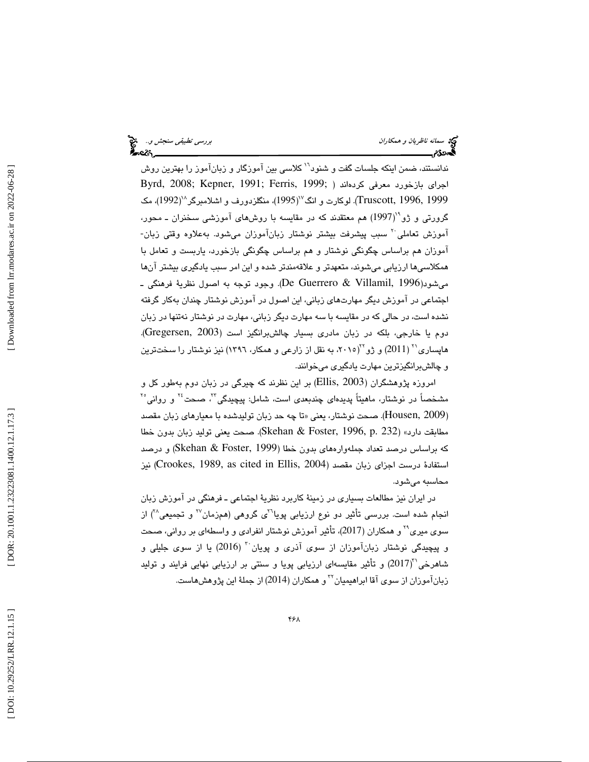سمانه ناظريان و همكاران بررسي تطبيقي سنجش و... الميجئي العالمية التي تطبيقي سنجش و... الميجئي توفيد<br>المسهودي بررسي تطبيق العالمية التي ترتيب التي توفيد التي توفيد التي ترتيب التي توفيد التي ترتيب التي توفيد الت<br>المسهودي ا

ندانستند، ضمن اينكه جلسات گفت و شنود<sup>٦٦</sup> كلاسي بين آموزگار و زبانآموز را بهترين روش اجراي بازخورد معرفي كردهاند ( ;1991 , Byrd, 2008; Kepner, 1991 ,Ferris, 1999 Truscott, 1996, 1999). لوكارت و انگ $^{\vee}$ (1995)، منگلزدورف و اشلامبرگر $^{\wedge}$ (1992)، مک گرورتی و ژو\*'(1997) هم معتقدند كه در مقايسه با روشهای آموزشی سخنران ــ محور، آموزش تعاملی<sup>۲۰</sup> سبب پیشرفت بیشتر نوشتار زبانآموزان میشود. بهعلاوه وقتی زبان-آموزان هم براساس چگونگي نوشتار و هم براساس چگونگي بازخورد، ياربست و تعامل با همكلاسي ها ارزيابي مي شوند، متعهدتر و علاقهمندتر شده و اين امر سبب يادگيري بيشتر آنها میشود(De Guerrero & Villamil, 1996). وجود توجه به اصول نظريهٔ فرهنگی ـ اجتماعي در آموزش ديگر مهارتهاي زباني، اين اصول در آموزش نوشتار چندان بهكار گرفته نشده است، در حالي كه در مقايسه با سه مهارت ديگر زباني ، مهارت در نوشتار نهتنها در زبان دوم يا خارجي، بلكه در زبان مادري بسيار چالشبرانگيز است (2003 ,Gregersen( . هاپساری'' (2011) و ژو''(۲۰۱۵، به نقل از زارعی و همکار، ۱۳۹٦) نیز نوشتار را سختترین و چالشبرانگيزترين مهارت يادگيري ميخوانند .

امروزه پژوهشگران (Ellis, 2003) بر این نظرند که چیرگی در زبان دوم بهطور کل و مشخصاً در نوشتار، ماهیتاً پدیدهای چندبعدی است، شامل: پیچیدگی<sup>۲۲</sup>، صحت<sup>۲۶</sup> و روانی<sup>۲۰</sup> (Housen, 2009). صحت نوشتار، يعني «تا چه حد زبان توليدشده با معيارهاي زبان مقصد مطابقت دارد» (Skehan & Foster, 1996, p. 232). صحت يعني توليد زبان بدون خطا كه براساس درصد تعداد جملهوارههاي بدون خطا (Skehan & Foster, 1999) و درصد استفادهٔ درست اجزای زبان مقصد (Crookes, 1989, as cited in Ellis, 2004) نیز<br>محاسبه میشود.

 در ايران نيز مطالعات بسياري در زمينة كاربرد نظري ة اجتماعي ـ فرهنگي در آموزش زبان انجام شده است. بررسی تأثیر دو نوع ارزیابی پویا<sup>7</sup>ی گروهی (همزمان<sup>۲۷</sup> و تجمیعی<sup>۳۸</sup>) از سوی میری<sup>۲۹</sup> و همکاران (2017)، تأثیر آموزش نوشتار انفرادی و واسطهای بر روان*ی*، صحت و پيچيدگ*ي* نوشتار زبانآموزان از سوی آذری و پويان<sup>۲۰</sup> (2016) يا از سوی جليلی و شاهرخی``(2017) و تأثیر مقایسهای ارزیابی پویا و سنتی بر ارزیابی نهایی فرایند و تولید زبانآموزان از سوی آقا ابراهیمیان™و همکاران (2014) از جملهٔ این پژوهش،هاست.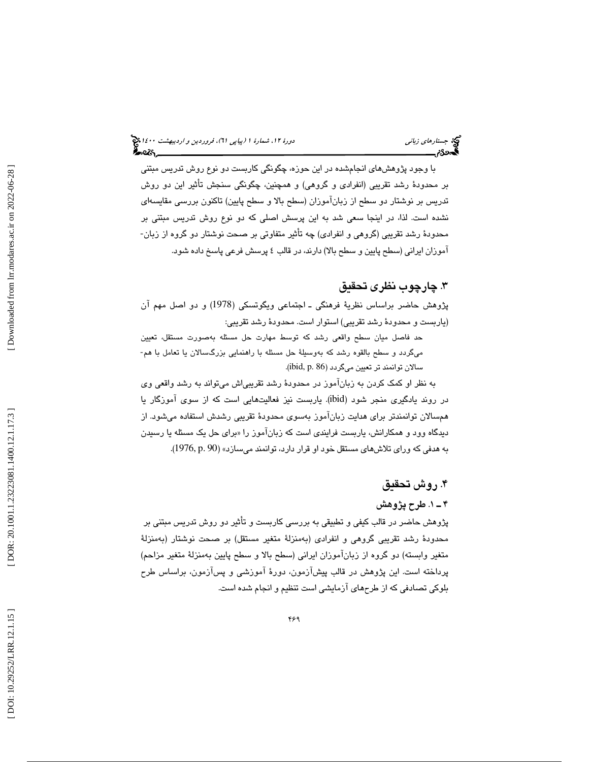با وجود پژوهشهاي انجامشده در اين حوزه، چگونگي كاربست دو نوع روش تدريس مبتني بر محدودهٔ رشد تقريبي (انفرادي و گروهي) و همچنين، چگونگي سنجش تأثير اين دو روش تدريس بر نوشتار دو سطح از زبانآموزان (سطح بالا و سطح پايين) تاكنون بررسي مقايسهاي نشده است. لذا، در اينجا سعي شد به اين پرسش اصلي كه دو نوع روش تدريس مبتني بر محدودهٔ رشد تقریبی (گروهی و انفرادی) چه تأثیر متفاوتی بر صحت نوشتار دو گروه از زبان-اموزان ايراني (سطح پايين و سطح بالا) دارند، در قالب ٤ پرسش فرعي پاسخ داده شود.

#### . 3 چارچوب نظر ي تحقيق

پژوهش حاضر براساس نظريهٔ فرهنگي ـ اجتماعي ويگوتسكي (1978) و دو اصل مهم آن (ياربست و محدودهٔ رشد تقريبي) استوار است. محدودهٔ رشد تقريبي:

حد فاصل ميان سطح واقعي رشد كه توسط مهارت حل مسئله بهصورت مستقل، تعيين ميگردد و سطح بالقوه رشد كه بهوسيلهٔ حل مسئله با راهنمايي بزرگسىالان يا تعامل با هم-سالان توانمند تر تعيين ميگردد (86 .p ,ibid .(

به نظر او كمك كردن به زبانآموز در محدود ة رشد تقريبياش ميتواند به رشد واقعي وي در روند يادگيري منجر شود (ibid). ياربست نيز فعاليتهايي است كه از سوي آموزگار يا همسالان توانمندتر براي هدايت زبانآموز بهسوي محدودهٔ تقريبي رشدش استفاده ميشود. از دیدگاه وود و همکارانش، یاربست فرایندی است که زبان!موز را «برای حل یک مسئله یا رسیدن به هدفی كه ورای تلاشهای مستقل خود او قرار دارد، توانمند میسازد» (90 .p .90).

#### . 4 روش تحقيق

#### 1ـ 4 . طرح پژوهش

پژوهش حاضر در قالب كيفى و تطبيقى به بررسى كاربست و تأثير دو روش تدريس مبتنى بر محدودهٔ رشد تقریبی گروهی و انفرادی (بهمنزلهٔ متغیر مستقل) بر صحت نوشتار (بهمنزلهٔ متغير وابسته) دو گروه از زبانآموزان ايراني (سطح بالا و سطح پايين بهمنزلة متغير مزاحم) پرداخته است. اين پژوهش در قالب پيشآزمون، دور ة آموزشي و پسآزمون، براساس طرح بلوكي تصادفي كه از طرحهاي آزمايشي است تنظيم و انجام شده است.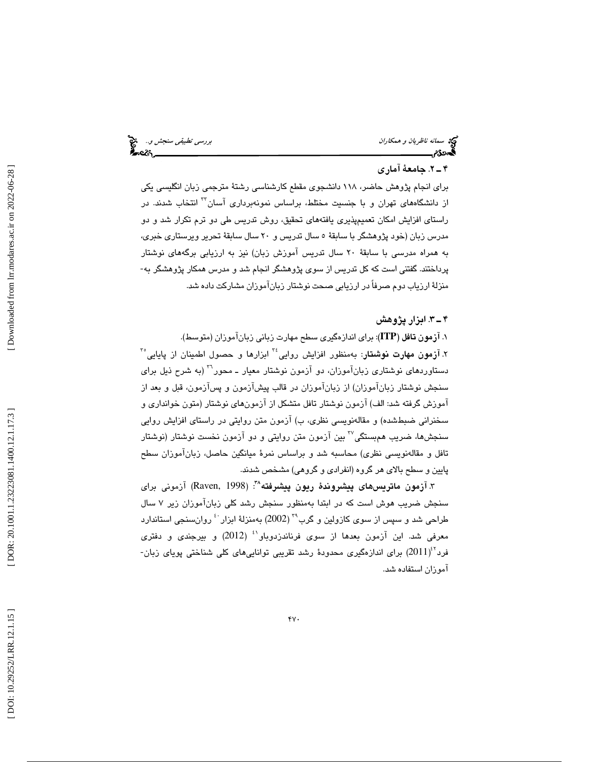سمانه *ناظريان و همكاران بالمؤسسة المسمولية التربيتي تطبيقي سنجش و.*. المؤسسة التي يسمول التي تربيب المؤسسة الت<br>**المحمد التي يسمول التي يسمول التي يسمول التي يسمول التي يسمول التي يسمول التي يسمول التي يسمول التي يسمول ال** 

#### 2ـ 4 . جامعة آماري

براي انجام پژوهش حاضر، 118 دانشجوي مقطع كارشناسي رشت ة مترجمي زبان انگليسي يكي از دانشگاههای تهران و با جنسیت مختلط، براساس نمونهبرداری آسان<sup>۳</sup> انتخاب شدند. در راستاي افزايش امكان تعميمپذيري يافتههاي تحقيق، روش تدريس طي دو ترم تكرار شد و دو مدرس زبان (خود پژوهشگر با سابقة 5 سال تدريس و 20 سال سابقة تحرير ويرستاري خبري، به همراه مدرسي با سابقة 20 سال تدريس آموزش زبان) نيز به ارزياب ي برگههاي نوشتار پرداختند. گفتني است كه كل تدريس از سوي پژوهشگر انجام شد و مدرس همكار پژوهشگر به- منزلة ارزياب دوم صرفاً در ارزيابي صحت نوشتار زبانآموزان مشاركت داده شد.

#### . 3ـ 4 ابزار پژوهش

1. آزمون تافل (**ITP** : (براي اندازهگيري سطح مهارت زباني زبانآموزان (متوسط). ۲. **آزمون مهارت نوشتار**: بهمنظور افزایش روایی<sup>۲۶</sup> ابزارها و حصول اطمینان از پایایی<sup>۳</sup> دستاوردهاي نوشتاري زبانآموزان، دو آزمون نوشتار معيار ــ محور<sup>٢٦</sup> (به شرح ذيل براي سنجش نوشتار زبانآموزان) از زبانآموزان در قالب پيشآزمون و پسآزمون ، قبل و بعد از اموزش گرفته شد: الف) ازمون نوشتار تافل متشكل از ازمونهای نوشتار (متون خوانداری و سخنرانی ضبطشده) و مقالهنویسی نظری، ب) ازمون متن روایتی در راستای افزایش روایی سنجشها، ضريب همېستگي™ بين آزمون متن روايتي و دو آزمون نخست نوشتار (نوشتار تافل و مقالهنويسي نظري) محاسبه شد و براساس نمر ة ميانگين حاصل، زبانآموزان سطح پايين و سطح بالاي هر گروه ( انفرادي و گروهي ) مشخص شدند.

۳. آزمون ما**تري**س@اى **پيشروندهٔ ريون پيشرفته^**: (Raven, 1998) آزمونى براى سنجش ضریب هوش است که در ابتدا بهمنظور سنجش رشد کلی زباناموزان زیر ۷ سال<br>طراحی شد و سپس از سوی کازولین و گرب<sup>۲۹</sup> (2002) بهمنزلهٔ ابزار <sup>۰:</sup> روان $نجی استاندارد$ معرفي شد. اين آزمون بعدها از سوي فرناندزدوباو<sup>٬٬</sup> (2012) و بيرجن*دي* و دفتري فرد<sup>۲٬</sup>(2011) برای اندازهگیری محدودهٔ رشد تقریبی توانایی۵ای کلی شناختی پویای زبان-آموزان استفاده شد.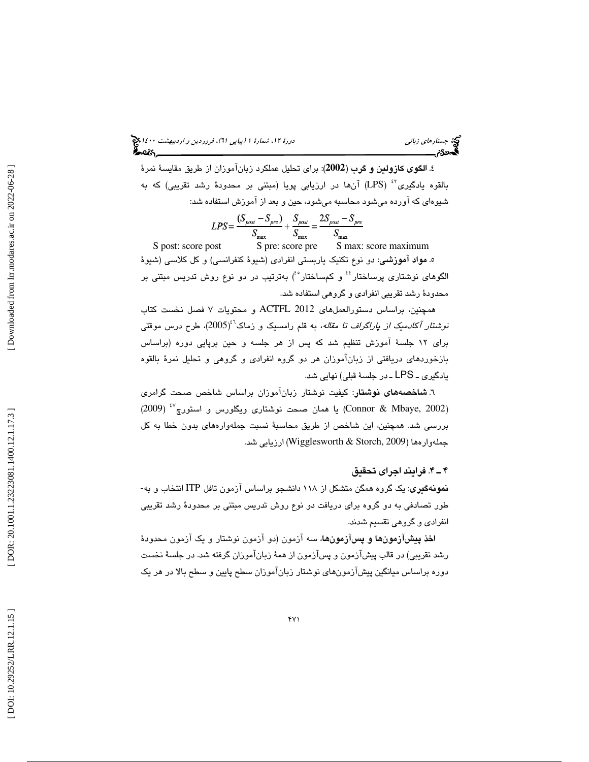(پياپي 61)، فروردين و ارديبهشت 1400 جستارهاي زباني دورة ،12 شمارة 1

4. الگوي كازولين و گرب (**2002**): براي تحليل عملكرد زبانآموزان از طريق مقايس ة نمر ة بالقوه يادگيری<sup>۶</sup>۲ (LPS) آنها در ارزيابي پويا (مبتني بر محدودهٔ رشد تقريبي) كه به شيوهاي كه آورده ميشود محاسبه ميشود، حين و بعد از آموزش استفاده شد:

$$
LPS = \frac{(S_{post} - S_{pre})}{S_{\text{max}}} + \frac{S_{post}}{S_{\text{max}}} = \frac{2S_{post} - S_{pre}}{S_{\text{max}}}
$$

S post: score post S pre: score pre S max: score maximum 5. مواد آموزشي: دو نوع تكنيك ياربستي انفرادي (شيوة كنفرانسي) و كل كلاسي (شيوة الگوهای نوشتاری پرساختار<sup>؛؛</sup> و کمساختار <sup>ه</sup>ٔ) بهترتیب در دو نوع روش تدریس مبتنی بر محدود ة رشد تقريبي انفرادي و گروهي استفاده شد.

همچنين، براساس دستورالعملهاي 2012 ACTFL و محتويات 7 فصل نخست كتاب ن*وشتار آكادمىك از پاراگراف تا مقاله*، به قلم رامسىيک و زماک<sup>31</sup>(2005)، طرح درس موقتى براي 12 جلسة آموزش تنظيم شد كه پس از هر جلسه و حين برپايي دوره (براساس بازخوردهاي دريافتي از زبانآموزان هر دو گروه انفرادي و گروهي و تحليل نمر ة بالقوه يادگيري ـ LPS ـ در جلسهٔ قبلي) نهايي شد.

6. شاخصههاي نوشتار : كيفيت نوشتار زبانآموزان براساس شاخص صحت گرامري (Connor & Mbaye, 2002) يا همان صحت نوشتارى ويگلورس و استورچ<sup>٤٧</sup> (2009) بررسي شد. همچنين ، اين شاخص از طريق محاسب ة نسبت جملهوارههاي بدون خطا به كل جملهوارهها (Wigglesworth & Storch, 2009) ارزيابي شد.

#### افر. 4ـ 4 يند اجراي تحقيق

نمونهگيري : يك گروه همگن متشكل از 118 دانشجو براساس آزمون تافل ITP انتخاب و به- طور تصادفي به دو گروه براي دريافت دو نوع روش تدريس مبتني بر محدود ة رشد تقريبي انفرادي و گروهي تقسيم شدند .

اخذ پيشآزمونها و پسآزمونها، سه آزمون (دو آزمون نوشتار و يك آزمون محدود ة رشد تقريبي) در قالب پيشآزمون و پسآزمون از همهٔ زبانآموزان گرفته شد. در جلسهٔ نخست دوره براساس ميانگين پيشآزمونهاي نوشتار زبانآموزان سطح پايين و سطح بالا در هر يك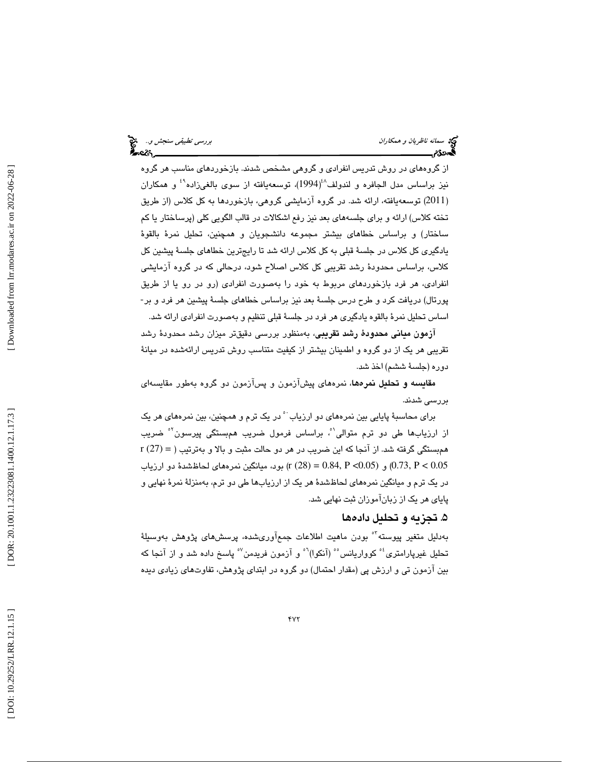سمانه ناظريان و همكاران بررسي تطبيقي سنجش و... الميخ<br>المجموع<br>المجموع بررسي تطبيق المجموع العربي المجموع العربي المجموع العربي المجموع العربي المجموع العربي المجموع

از گروههای در روش تدریس انفرادی و گروهی مشخص شدند. بازخوردهای مناسب هر گروه نیز براساس مدل الجافره و لندولف<sup>^</sup>¿(1994)، توسعهیافته از سوی بالغیزاده<sup>۴</sup> و همکاران 2011) توسعهيافته ، ارائه شد. در گروه آزمايشي گروهي، بازخوردها به كل كلاس (از طريق ) تخته كلاس) ارائه و برای جلسههای بعد نیز رفع اشكالات در قالب الگویی كلی (پرساختار یا كم ساختار) و براساس خطاهاي بيشتر مجموعه دانشجويان و همچنين، تحليل نمرهٔ بالقوهٔ يادگيري كل كلاس در جلسهٔ قبلي به كل كلاس ارائه شد تا رايجترين خطاهاي جلسهٔ پيشين كل كلاس، براساس محدودهٔ رشد تقریبی كل كلاس اصلاح شود، درحالی كه در گروه آزمایشی انفرادی، هر فرد بازخوردهای مربوط به خود را بهصورت انفرادی (رو در رو یا از طريق<br>پورتال) دریافت کرد و طرح درس جلسهٔ بعد نیز براساس خطاهای جلسهٔ پیشین هر فرد و بر-اساس تحليل نمرهٔ بالقوه يادگيري هر فرد در جلسهٔ قبلي تنظيم و بهصورت انفرادي ارائه شد.

آ**زمون مياني محدودهٔ رشد تقريبي**، بهمنظور بررسي دقيقتر ميزان رشد محدودهٔ رشد تقريبي هر يک از دو گروه و اطمينان بيشتر از كيفيت متناسب روش تدريس ارائهشده در ميانهٔ دوره (جلسهٔ ششم) اخذ شد.

م**قایسه و تحلیل نمرهه**ا، نمرههای پیشآزمون و پسآزمون دو گروه بهطور مقایسها*ی* بررس*ي* شدند.

براي محاسبهٔ پايايي بين نمرههاي دو ارزياب<sup> ٠</sup> در يک ترم و همچنين، بين نمرههاي هر يک از ارزیابها طی دو ترم متوالی<sup>יم</sup>، براساس فرمول ضریب همېستگی پیرسون<sup>۰</sup>۴ ضریب r (27) = همبستگي گرفته شد. از آنجا كه اين ضريب در هر دو حالت مثبت و بالا و بهترتيب ( و (0.05 × 0.73, P و (0.05 = (28) (r (28) بود، ميانگين نمرههاي لحاظشدهٔ دو ارزياب (r (28)  $(0.73, P < 0.05)$ در يک ترم و ميانگين نمرههاي لحاظشدهٔ هر يک از ارزيابها طي دو ترم، بهمنزلهٔ نمرهٔ نهايي و پاياي هر يک از زبانآموزان ثبت نهايي شد.

### ۵. تجزيه و تحليل دادهها

بەدلیل متغیر پیوسته<sup>٬۰</sup> بودن ماهیت اطلاعات جمعآوریشده، پرسشهای پژوهش بەوسى<u>ل</u>هٔ تحلیل غیرپارامتری'° کوواریانس'° (آنکوا)<sup>۹</sup>′ و آزمون فریدمن<sup>۷</sup>° پاسخ داده شد و از آنجا که بين آزمون تي و ارزش پي (مقدار احتمال) دو گروه در ابتداي پژوهش ، تفاوتهاي زيادي ديده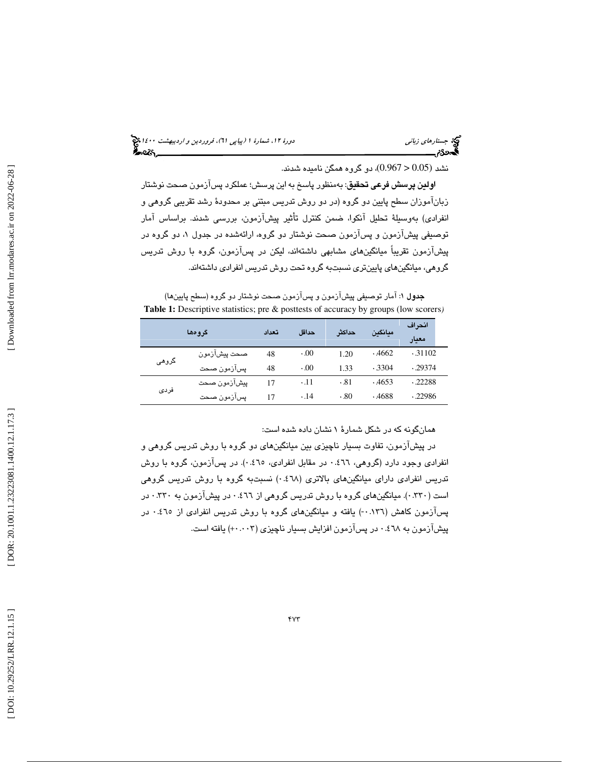(پياپي 61)، فروردين و ارديبهشت 1400 جستارهاي زباني دورة ،12 شمارة 1

نشد (0.05 < 0.967)، دو گروه همگن ناميده شدند.

ا**ولين پرسش فرعي تحقيق**: بهمنظور پاسخ به اين پرسش؛ عملكرد پسآزمون صحت نوشتار زبانآموزان سطح پايين دو گروه (در دو روش تدريس مبتني بر محدودهٔ رشد تقريبي گروهي و انفرادي) بهوسيلهٔ تحليل آنكوا، ضمن كنترل تأثير پيشآزمون، بررسي شدند. براساس آمار توصيفي پيشآزمون و پسآزمون صحت نوشتار دو گروه ، ارائهشده در جدول 1، دو گروه در پيشازمون تقريباً ميانگين $\bm{s}$ اي مشابهي داشتهاند، ليکن در پسازمون، گروه با روش تدريس گروهي ، ميانگينهاي پايينتري نسبتبه گروه تحت روش تدريس انفرادي داشتهاند.

**جدول ۱**: آمار توصیفی پیشآزمون و پسآزمون صحت نوشتار دو گروه (سطح پایینها) **Table 1:** Descriptive statistics; pre & posttests of accuracy by groups (low scorers *)*

|       | گروهها       | تعداد | حداقل       | حداكثر | ميانكين | انحراف<br>معيار |
|-------|--------------|-------|-------------|--------|---------|-----------------|
| گروهی | صحت پیشازمون | 48    | 0.00        | 1.20   | .4662   | .31102          |
|       | پسآزمون صحت  | 48    | 0.00        | 1.33   | .3304   | .29374          |
| فردى  | ييشآزمون صحت | 17    | $\cdot$ .11 | .81    | .4653   | .22288          |
|       | پسآزمون صحت  | 17    | $\cdot$ .14 | .80    | .4688   | .22986          |

همانگونه كه در شكل شمارة 1 نشان داده شده است:

در پيشآزمون، تفاوت بسيار ناچيزي بين ميانگينهاي دو گروه با روش تدريس گروهي و انفرادي وجود دارد (گروهي، 0.466 در مقابل انفرادي، 0.465). در پسآزمون ، گروه با روش تدريس انفرادي داراي ميانگينهاي بالاتري (0.468) نسبتبه گروه با روش تدريس گروهي است ( ٢٣٠٠). ميانگينهاي گروه با روش تدريس گروهي از ٤٦٦ در پيشآزمون به ٣٣٠.٠ در پسآزمون كاهش (١٣٦.٠-) يافته و ميانگينهاي گروه با روش تدريس انفرادي از ٤٦٥ . در پيشآزمون به ٧٨٪ در پسآزمون افزايش بسيار ناچيزي (+٠٠٠٢) يافته است.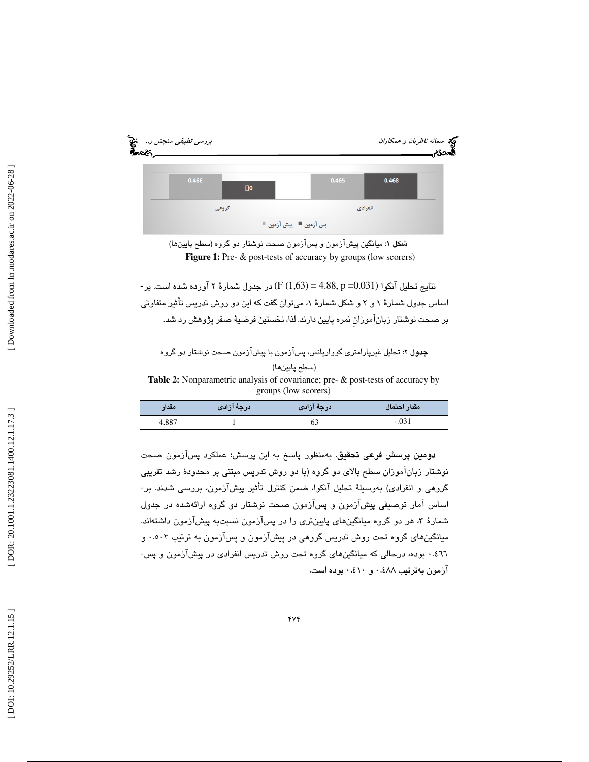



نتايج تحليل آنكوا (0.031= p 4.88,) = 1,63 (F (در جدول شمارة 2 آورده شده است. بر- اساس جدول شمارهٔ ۱ و ۲ و شکل شمارهٔ ۱، میتوان گفت که این دو روش تدریس تاثیر متفاوتی بر صحت نوشتار زبانآموزانِ نمره پايين دارند. لذا، نخستين فرضي ة صفر پژوهش رد شد.

جدول 2: تحل ريغ لي پارامتر ي كوواريانس، پسآزمون با پيشآزمون صحت نوشتار دو گروه

#### (سطح پايينها)

**Table 2:** Nonparametric analysis of covariance; pre- & post-tests of accuracy by groups (low scorers)

| <b>مقدار</b> | /درجهٔ آزادی | درجهٔ آزادی | مقدار احتمال |
|--------------|--------------|-------------|--------------|
| 4.887        |              |             | .031         |

دومين پرسش فرعي تحقيق. بهمنظور پاسخ به اين پرسش؛ عملكرد پسآزمون صحت نوشتار زبانآموزان سطح بالای دو گروه (با دو روش تدريس مبتني بر محدودهٔ رشد تقريبي گروهي و انفرادي) بهوسيلهٔ تحليل آنكوا، ضمن كنترل تأثير پيشآزمون، بررسي شدند. بر-اساس آمار توصيفي پيشآزمون و پسآزمون صحت نوشتار دو گروه ارائهشده در جدول شمارهٔ ۳، هر دو گروه میانگینهای پایینتری را در پسآزمون نسبتبه پیشآزمون داشتهاند. ميانگينهاي گروه تحت روش تدريس گروهي در پيشآزمون و پسآزمون به ترتيب 0.503 و 0.466 بوده ، درحالي كه ميانگينهاي گروه تحت روش تدريس انفرادي در پيشآزمون و پس- آزمون بهترتيب 0.488 و 0.410 بوده است .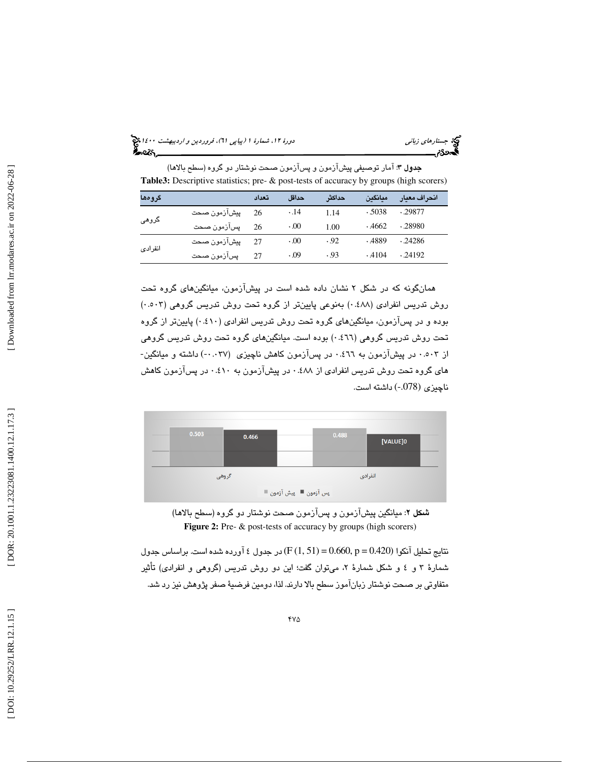(پياپي 61)، فروردين و ارديبهشت 1400 جستارهاي زباني دورة ،12 شمارة 1

| <b>جدول ۳</b> : امار توصیفی پیشازمون و پسازمون صحت نوشتار دو گروه (سطح بالاها)                |
|-----------------------------------------------------------------------------------------------|
| <b>Table3:</b> Descriptive statistics; pre- & post-tests of accuracy by groups (high scorers) |

| گرومها  |              | تعداد | حداقل       | حداكثر | مبانگين | انحراف معيار |
|---------|--------------|-------|-------------|--------|---------|--------------|
| گروهی   | پیشآزمون صحت | 26    | $\cdot$ .14 | 1.14   | .5038   | .29877       |
|         | پسآزمون صحت  | 26    | 0.00        | 1.00   | .4662   | .28980       |
| انفرادى | ييشآزمون صحت | 27    | 0.00        | .92    | .4889   | .24286       |
|         | پسآزمون صحت  | 27    | .09         | .93    | .4104   | .24192       |

همانگونه كه در شكل ۲ نشان داده شده است در پیشآزمون، میانگینهای گروه تحت روش تدريس انفرادي (٤٨٨.٠) بهنوعي پايينتر از گروه تحت روش تدريس گروهي (٠.٥٠٣) بوده و در پس|زمون، ميانگينِهاي گروه تحت روش تدريس انفرادي (٤١٠.) پايينتر از گروه تحت روش تدريس گروهي (٠.٤٦٦) بوده است. ميانگينهاي گروه تحت روش تدريس گروهي<br>از ٠.٥٠٣ در پيشآزمون به ٠.٤٦٦ در پسآزمون كاهش ناچيزي (٠.٠٣٧-) داشته و ميانگين-های گروه تحت روش تدريس انفرادي از ۰.٤٨٨ در پيشآزمون به ۰.٤١٠ در پسآزمون كاهش ناچيزي (-.078) داشته است.



شكل 2: ميانگين پيشآزمون و پس آزمون صحت نوشتار دو گروه (سطح بالاها) **Figure 2:** Pre- & post-tests of accuracy by groups (high scorers)

نتايج تحليل آنكوا (0.420 = p 0.660,) = 51 1, (F (در جدول 4 آورده شده است. براساس جدول شمارهٔ ۳ و ٤ و شکل شمارهٔ ۲. میتوان گفت؛ این دو روش تدریس (گروهی و انفرادی) تاثیر متفاوتي بر صحت نوشتار زبانآموز سطح بالا دارند. لذا، دومين فرضيهٔ صفر پژوهش نيز رد شد.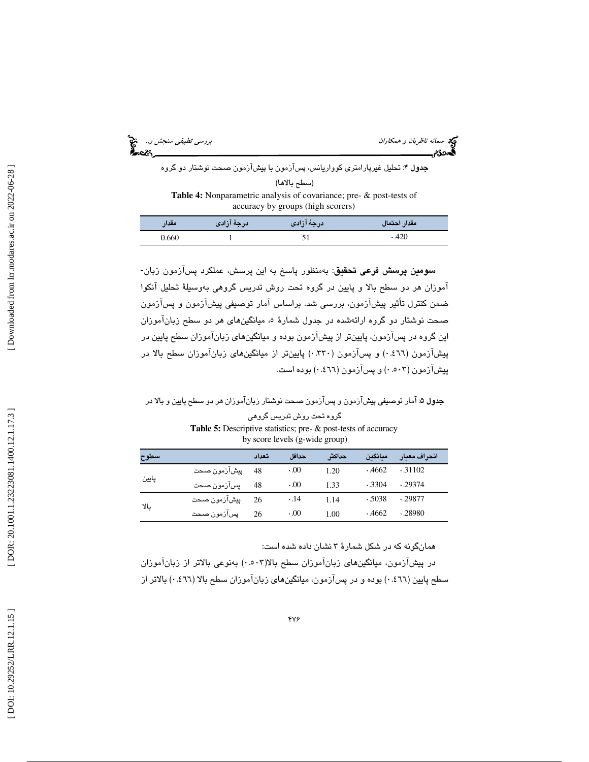| بررسی تطبیقی سنجش و… چی                                                                                         | <b>کیپ</b> ه  سم <i>انه ناظریان و همکاران</i><br>ಸಿಂಪ್ |
|-----------------------------------------------------------------------------------------------------------------|--------------------------------------------------------|
| <b>جدول ۴</b> : تحلیل غیرپارامتری کوواریانس، پسآزمون با پیشآزمون صحت نوشتار دو گروه                             |                                                        |
| (سطح بالاها)                                                                                                    |                                                        |
| <b>Table 4:</b> Nonparametric analysis of covariance; pre- & post-tests of<br>accuracy by groups (high scorers) |                                                        |

| <b>مقدار</b> | / <b>درجهٔ آزادی</b> | درجهٔ آزادی | مقدار احتمال |
|--------------|----------------------|-------------|--------------|
| 0.660        |                      |             | .420         |

س**ومین پرسش فرعی تحقیق**: بهمنظور پاسخ به این پرسش، عملکرد پسآزمون زبان-آموزان هر دو سطح بالا و پايين در گروه تحت روش تدريس گروهي بهوسيلهٔ تحليل آنكوا ضمن كنترل تأثير پيشآزمون، بررسي شد. براساس آمار توصيفي پيشآزمون و پسآزمون صـحت نوشتار دو گروه ارائهشده در جدول شمارهٔ ۵، میانگینهای هر دو سطح زبان۱موزان اين گروه در پسآزمون ، پايين تر از پيشآزمون بوده و ميانگينهاي زبانآموزان سطح پايين در پیشازمون (٤٦٦.٠) و پسازمون (٣٣٠.٠) پایینتر از میانگینهای زباناموزان سطح بالا در پیشازمون (۰.۵۰۳) و پسازمون (۶۳۱.۰) بوده است.

جدول 5: آمار توصيفي پيشآزمون و پسآزمون صحت نوشتار زبانآموزان هر دو سطح پايين و بالا در

گروه تحت روش تدريس گروهي **Table 5:** Descriptive statistics; pre- & post-tests of accuracy by score levels (g-wide group)

| سطوح  |              | تعداد | حداقل       | حداكثر | ميانگين | انحراف معيار |
|-------|--------------|-------|-------------|--------|---------|--------------|
| پايين | پيشآزمون صحت | -48   | 0.00        | 1.20   | .4662   | .31102       |
|       | پسآزمون صحت  | 48    | 0.00        | 1.33   | .3304   | .29374       |
| بالا  | پیشآزمون صحت | 26    | $\cdot$ .14 | 1.14   | .5038   | .29877       |
|       | پسآزمون صحت  | 26    | 0.00        | 1.00   | .4662   | .28980       |

همانگونه كه در شكل شمارة 3 نشان داده شده است:

در پیشازمون، میانگینهای زبان[موزان سطح بالا(۰.۰۰۳) بەنوعی بالاتر از زبان[موزان سطح پايين (٤٦٦ ) بوده و در پسازمون، ميانگينهاي زباناموزان سطح بالا (٤٦٦ ۰ ) بالاتر از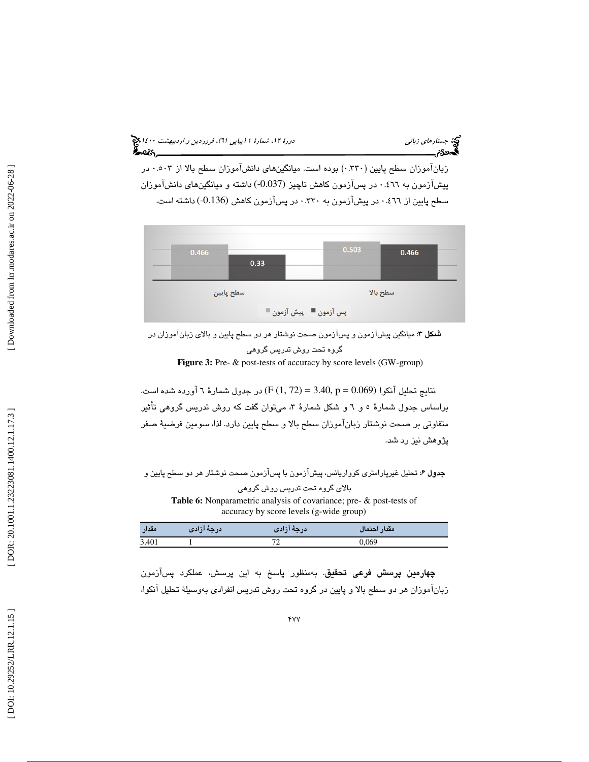(پياپي 61)، فروردين و ارديبهشت 1400 جستارهاي زباني دورة ،12 شمارة 1 ీ∽∝బొ

زبانآموزان سطح پايين ( 0.330 ) بوده است . ميانگينهاي دانشآموزان سطح بالا از 0.503 در پیشآزمون به ٤٦٦٪ در پسآزمون كاهش ناچیز (0.037-) داشته و میانگینهای دانشآموزان<br>سطح پایین از ٤٦٦٪ در پیشآزمون به ٣٣٠. در پسآزمون كاهش (0.136-) داشته است.



شكل 3: ميانگين پيشآزمون و پسآزمون صحت نوشتار هر دو سطح پايين و بالاي زبانآموزان در گروه تحت روش تدريس گروهي Figure 3: Pre- & post-tests of accuracy by score levels (GW-group)

نتايج تحليل آنكوا (0.069 = p 3.40,) = 72 1, (F (در جدول شمارة 6 آورده شده است. براساس جدول شمارة 5 6و و شكل شمارة 3 ، ميتوان گفت كه روش تدريس گروهي أت ثير متفاوتي بر صحت نوشتار زبانآموزان سطح بالا و سطح پايين دارد. لذا، سومين فرضي ة صفر پژوهش نيز رد شد.

جدول 6: تحليل غيرپارامتري كوواريانس، پيشآزمون با پسآزمون صحت نوشتار هر دو سطح پايين و بالاي گروه تحت تدريس روش گروهي

**Table 6:** Nonparametric analysis of covariance; pre- & post-tests of accuracy by score levels (g-wide group)

| مقدار | درجة ازادى | ادرجه ازادی | مقدار احتمال |
|-------|------------|-------------|--------------|
| 3.401 |            |             |              |
|       |            |             |              |

چهارمين پرسش فرعي تحقيق. بهمنظور پاسخ به اين پرسش، عملكرد پسآزمون زبانآموزان هر دو سطح بالا و پايين در گروه تحت روش تدريس انفرادي بهوسيلهٔ تحليل آنكوا،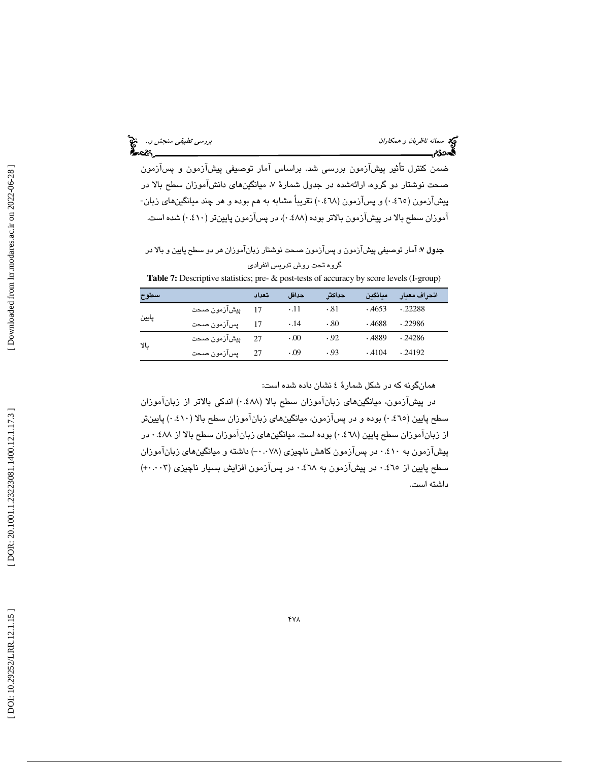سمانه *ناظريان و همكاران بررسي تطبيقي سنجش و..*<br>پررس*ي تطبيقي سنجش و...*<br>پهمونگام بررسي تصريح العامل

ضمن كنترل تأثير پيشآزمون بررسي شد. براساس آمار توصيفي پيشآزمون و پسآزمون صحت نوشتار دو گروه، ارائهشده در جدول شمارهٔ ۷، میانگینهای دانشآموزان سطح بالا در پیشآزمون (٤٦٥٪) و پسآزمون (٤٦٨٪) تقریباً مشابه به هم بوده و هر چند میانگینهای زبان-اموزان سطح بالا در پیشازمون بالاتر بوده (۰.٤٨٨ در پسازمون پایینتر (٤١٠) شده است.

جدول ٧: آمار توصيفي پيشآزمون و پسآزمون صحت نوشتار زبانآموزان هر دو سطح پايين و بالا در گروه تحت روش تدريس انفرادي

| Table 7: Descriptive statistics; pre- & post-tests of accuracy by score levels (I-group) |  |  |
|------------------------------------------------------------------------------------------|--|--|
|------------------------------------------------------------------------------------------|--|--|

| سطوح  |              | تعداد | حداقل       | حداكث | معانگىن | انحراف معيار |
|-------|--------------|-------|-------------|-------|---------|--------------|
| پايين | پيشآزمون صحت |       | $\cdot$ .11 | .81   | .4653   | .22288       |
|       | پسآزمون صحت  | 17    | $\cdot$ .14 | .80   | .4688   | .22986       |
| YL    | ييشآزمون صحت | 27    | 0.00        | .92   | .4889   | .24286       |
|       | پسآزمون صحت  | 27    | 0.09        | .93   | .4104   | .24192       |

همانگونه كه در شكل شمارة 4 نشان داده شده است:

در پيشآزمون، ميانگينهاي زبانآموزان سطح بالا ( 0.488 ) اندكي بالاتر از زبانآموزان سطح پايين (0.465) بوده و در پسآزمون ، ميانگينهاي زبانآموزان سطح بالا (0.410) پايينتر از زبانآموزان سطح پايين (0.468) بوده است . ميانگينهاي زبانآموزان سطح بالا از 0.488 در پیشازمون به ۰.٤۱۰ در پسازمون كاهش ناچیزی (۰.۰۷۸-) داشته و میانگینهای زبان[موزان سطح پايين از ٥٠٤٪ در پيشازمون به ٤٦٨. در پسازمون افزايش بسيار ناچيزي (٠٠٠٠٣) داشته است .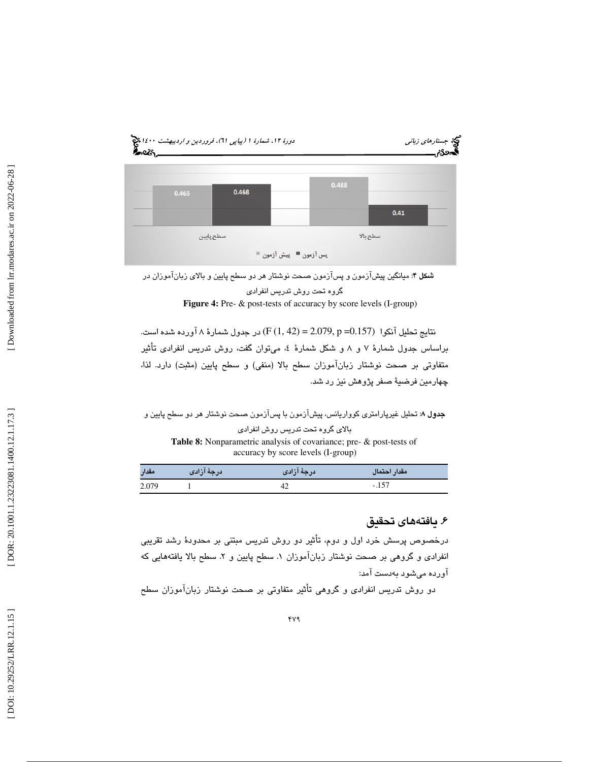

شكل 4: ميانگين پيشآزمون و پسآزمون صحت نوشتار هر دو سطح پايين و بالاي زبانآموزان در گروه تحت روش تدريس انفرادي Figure 4: Pre-  $\&$  post-tests of accuracy by score levels (I-group)

نتايج تحليل آنكوا (0.157= p 2.079,) = 42 1, (F (در جدول شمارة 8 آورده شده است. براساس جدول شمارهٔ ۷ و ۸ و شکل شمارهٔ ٤، میتوان گفت، روش تدريس انفرادی تأثير متفاوتي بر صحت نوشتار زبانآموزان سطح بالا (منفي) و سطح پايين (مثبت) دارد. لذا، چهارمين فرضيهٔ صفر پژوهش نيز رد شد.

جدول 8: تحليل غيرپارامتري كوواريانس، پيشآزمون با پسآزمون صحت نوشتار هر دو سطح پايين و بالاي گروه تحت تدريس روش انفرادي **Table 8:** Nonparametric analysis of covariance; pre- & post-tests of accuracy by score levels (I-group)

| مقدار | درجهٔ آزادی | درجهٔ آزادی | مقدار احتمال |
|-------|-------------|-------------|--------------|
| 2.079 |             |             | .157         |

### . يافتههاي تحقيق 6

درخصوص پرسش خرد اول و دوم، تأثير دو روش تدريس مبتني بر محدودهٔ رشد تقريبي انفرادی و گروهی بر صحت نوشتار زبان۱موزان ۱. سطح پایین و ۲. سطح بالا یافتههایی که آورده ميشود هب دست آمد:

دو روش تدريس انفرادي و گروهي تأثير متفاوتي بر صحت نوشتار زباناموزان سطح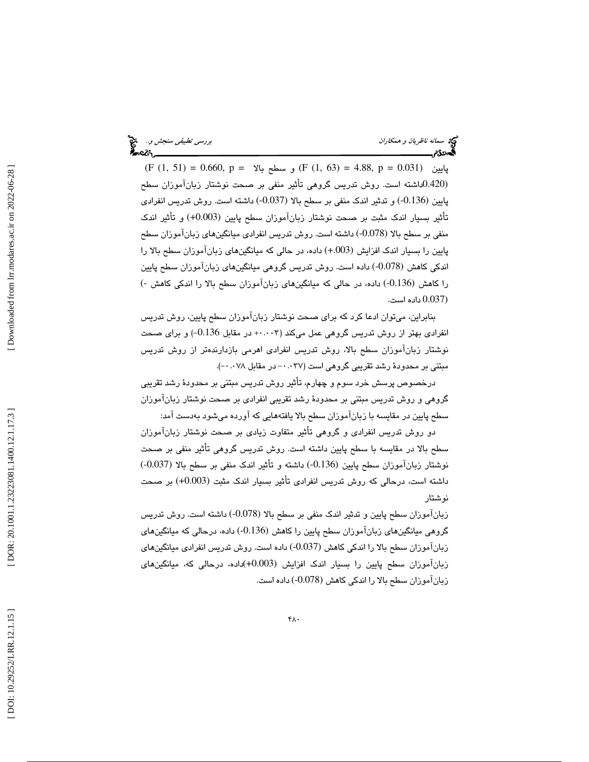سمانه ناظريان و همكاران بررسي تطبيقي سنجش و... الميخ<br>المجموع<br>المجموع بررسي تطبيق المجموع العربي المجموع العربي المجموع العربي المجموع العربي المجموع العربي المجموع

 $(F (1, 51) = 0.660, p = \sqrt{F (1, 63)} = 4.88, p = 0.031)$  پایین  $(F (1, 51) = 0.660, p = \sqrt{F (1, 63)} = 5.031)$ (0.420داشته است. روش تدريس گروهي تأثير منفي بر صحت نوشتار زبانآموزان سطح پايين (-0.136) دو ت ثير اندك منفي بر سطح بالا (-0.037) داشته است. روش تدريس انفرادي تأثير بسيار اندك مثبت بر صحت نوشتار زبانآموزان سطح پايين (0.003+) و تأثير اندك منفي بر سطح بالا (-0.078) داشته است. روش تدريس انفرادي ميانگينهاي زبانآموزان سطح پايين را بسيار اندك افزايش (+.003) داده، در حالي كه ميانگينهاي زبانآموزان سطح بالا را اندكي كاهش (-0.078) داده است. روش تدريس گروهي ميانگينهاي زبانآموزان سطح پايين را كاهش (-0.136) داده، در حالي كه ميانگينهاي زبانآموزان سطح بالا را اندكي كاهش -) (0.037 داده است.

بنابراين، ميتوان ادعا كرد كه براي صحت نوشتار زبانآموزان سطح پايين، روش تدريس انفرادی بهتر از روش تدریس گروهی عمل میکند (+۰۰۰+ در مقابل 0.136–) و برای صحت نوشتار زبانآموزان سطح بالا، روش تدريس انفرادي اهرمي بازدارندهتر از روش تدريس مبتنی بر محدودهٔ رشد تقریبی گروهی است ( ۰.۰۳۷– در مقابل ۰.۰۷۸–).

درخصوص پرسش خرد سوم و چهارم، تأثير روش تدريس مبتني بر محدودۀ رشد تقريبي گروهي و روش تدريس مبتني بر محدودهٔ رشد تقريبي انفرادي بر صحت نوشتار زبانآموزان سطح پايين در مقايسه با زبانآموزان سطح بالا يافتههايي كه آورده ميشود بهدست آمد:

دو روش تدريس انفرادي و گروهي تأثير متفاوت زيادي بر صحت نوشتار زبان|موزان سطح بالا در مقايسه با سطح پايين داشته است. روش تدريس گروهي تأثير منفي بر صحت نوشتار زبانآموزان سطح پايين (0.136-) داشته و تأثير اندک منفي بر سطح بالا (0.037-) داشته است، درحالی که روش تدريس انفرادی تأثير بسيار اندک مثبت (0.003+) بر صحت نوشتار

زبانآموزان سطح پايين و تدثير اندک منفي بر سطح بالا (0.078-) داشته است. روش تدريس گروهي ميانگينهاي زبانآموزان سطح پايين را كاهش (-0.136) داده، درحالي كه ميانگينهاي زبانآموزان سطح بالا را اندكي كاهش (-0.037) داده است. روش تدريس انفرادي ميانگينهاي زبانآموزان سطح پايين را بسيار اندك افزايش (+0.003)داده، درحالي كه، ميانگينهاي زبانآموزان سطح بالا را اندكي كاهش (-0.078) داده است.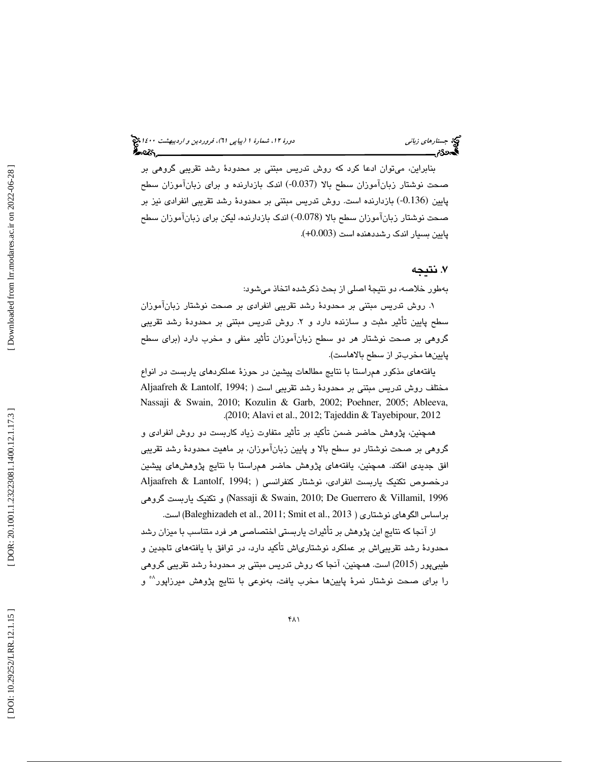بنابراين، ميتوان ادعا كرد كه روش تدريس مبتني بر محدود ة رشد تقريبي گروهي بر صحت نوشتار زبانآموزان سطح بالا (-0.037) اندك بازدارنده و براي زبانآموزان سطح پايين (0.136-) بازدارنده است. روش تدريس مبتني بر محدودهٔ رشد تقريبي انفرادي نيز بر صحت نوشتار زبانآموزان سطح بالا (-0.078) اندك بازدارنده، ليكن براي زبانآموزان سطح پايين بسيار اندك رشددهنده است (+0.003) .

#### . 7 نتيجه

بهطور خلاصه، دو نتيجهٔ اصلي از بحث ذكرشده اتخاذ ميشود:

۱. روش تدريس مبتني بر محدودهٔ رشد تقريبي انفرادي بر صحت نوشتار زبان|موزان سطح پايين تأثير مثبت و سازنده دارد و ٢. روش تدريس مبتني بر محدودهٔ رشد تقريبي گروهی بر صحت نوشتار هر دو سطح زباناموزان تاثیر منفی و مخرب دارد (برای سطح<br>پایینها مخربتر از سطح بالاهاست).

يافتههاي مذكور همراستا با نتايج مطالعات پيشين در حوز ة عملكردهاي ياربست ادر نواع مختلف روش تدريس مبتني بر محدود ة رشد تقريبي است ( ;1994 ,Lantolf & Aljaafreh Nassaji & Swain, 2010; Kozulin & Garb, 2002; Poehner, 2005; Ableeva, (. 2010; Alavi et al., 2012; Tajeddin & Tayebipour, 2012

همچنين، پژوهش حاضر ضمن تأكيد بر تأثير متفاوت زياد كاربست دو روش انفرادى و گروهي بر صحت نوشتار دو سطح بالا و پايين زبانآموزان بر ، ماهيت محدود ة رشد تقريبي افق جديدي افكند. همچنين ، يافتههاي پژوهش حاضر همراستا با نتايج پژوهشهاي پيشين درخصوص تكنيك ياربست انفرادي ، نوشتار كنفرانسي ( ;1994 ,Lantolf & Aljaafreh گروهي ياربست تكنيك و ) Nassaji & Swain, 2010; De Guerrero & Villamil, 1996 براساس الگوهای نوشتاری ( Baleghizadeh et al., 2011; Smit et al., 2013) است.

از انجا كه نتايج اين پژوهش بر تاثيرات ياربستى اختصاصى هر فرد متناسب با ميزان رشد محدودهٔ رشد تقریبیاش بر عملکرد نوشتاریاش تأکید دارد، در توافق با یافتههای تاجدین و طيبيپور (2015) است. همچنين، آنجا كه روش تدريس مبتنی بر محدودهٔ رشد تقريبي گروهي را برای صحت نوشتار نمرهٔ پایینها مخرب یافت، بهنوعی با نتایج پژوهش میرزاپور<sup>^°</sup> و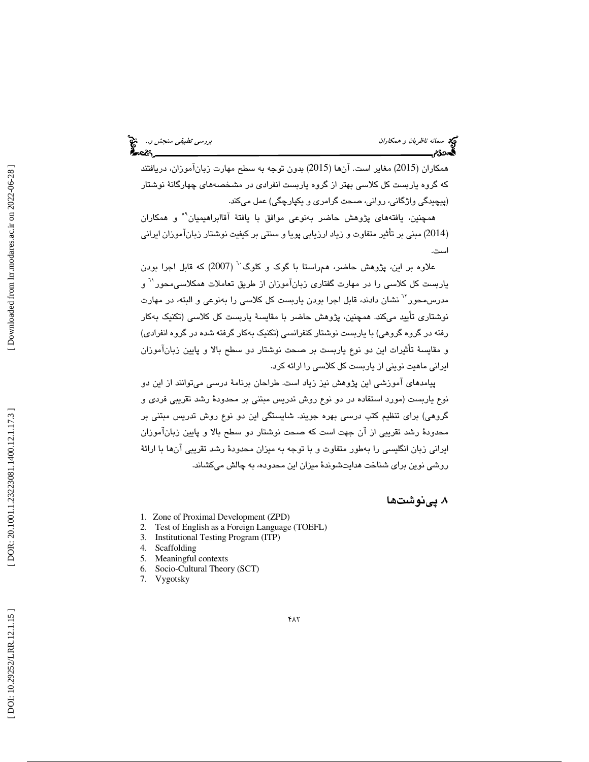همکاران (2015) مغاير است. آنها (2015) بدون توجه به سطح مهارت زبانآموزان، دريافتند كه گروه ياربست كل كلاسی بهتر از گروه ياربست انفرادی در مشخصههای چهارگانهٔ نوشتار (پيچيدگی واژگانی، روانی، صـحت گرامری و يکپارچگی) عمل میکند.

همچنين، يافتههاي پژوهش حاضر بهنوعي موافق با يافتهٔ آقاابراهيميان<sup>۹</sup>° و همکاران (2014) مبنی بر تأثیر متفاوت و زیاد ارزیابی پویا و سنتی بر کیفیت نوشتار زبانآموزان ایرانی است .

علاوه بر اين، پژوهش حاضر، همراستا با گوک و کلوگ<sup>۲۰</sup> (2007) که قابل اجرا بودن یاربست کل کلاسی را در مهارت گفتاری زبانآموزان از طریق تعاملات همکلاسی $\sim$ ور $^{\prime\prime}$  و مدرس،محور<sup>٦٢</sup> نشان دادند، قابل اجرا بودن ياربست كل كلاس*ي* را بهنوعي و البته، در مهارت نوشتاری تأیید میکند. همچنین، پژوهش حاضر با مقایسهٔ یاربست کل کلاسی (تکنیک بهکار رفته در گروه گروهي) با ياربست نوشتار كنفرانسي (تكنيک بهكار گرفته شده در گروه انفرادي) و مقايسهٔ تأثيرات اين دو نوع ياربست بر صحت نوشتار دو سطح بالا و پايين زبانآموزان ايراني ماهيت نويني از ياربست كل كلاسي را ارائه كرد.

پيامدهاي آموزشي اين پژوهش نيز زياد است. طراحان برنام ة درسي ميتوانند از اين دو نوع ياربست (مورد استفاده در دو نوع روش تدريس مبتني بر محدودهٔ رشد تقريبي فردي و گروهي) براي تنظيم كتب درسي بهره جويند. شايستگي اين دو نوع روش تدريس مبتني بر محدودهٔ رشد تقریبی از آن جهت است كه صحت نوشتار دو سطح بالا و پایین زبانآموزان ايراني زبان انگليسي را بهطور متفاوت و با توجه به ميزان محدودهٔ رشد تقريبي آنها با ارائهٔ روشي نوين براي شناخت هدايتشوندة ميزان اين محدوده، به چالش ميكشاند.

#### . پينوشت ها 8

- 1. Zone of Proximal Development (ZPD)
- 2. Test of English as a Foreign Language (TOEFL)
- 3. Institutional Testing Program (ITP)
- 4. Scaffolding
- 5. Meaningful contexts
- 6. Socio-Cultural Theory (SCT)
- 7. Vygotsky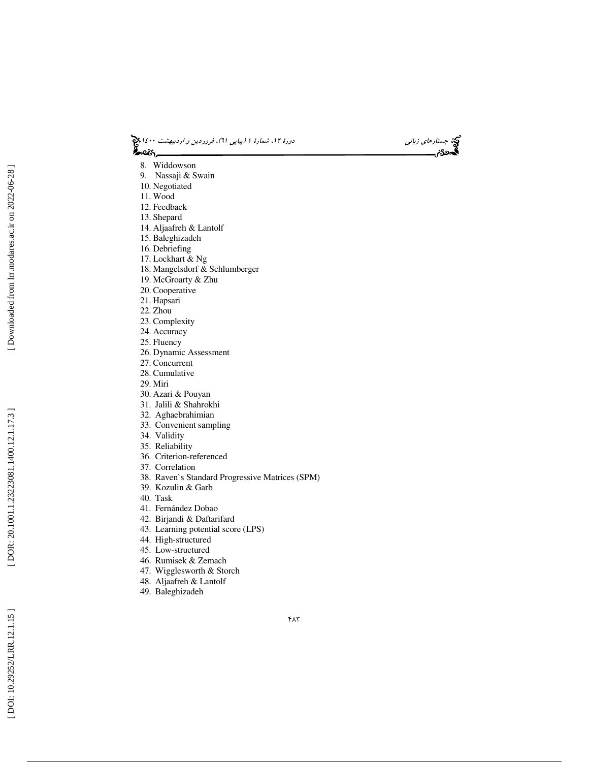(پياپي 61)، فروردين و ارديبهشت 1400 جستارهاي زباني دورة ،12 شمارة 1



- 8. Widdowson
- 9. Nassaji & Swain
- 10. Negotiated
- 11. Wood
- 12. Feedback
- 13. Shepard
- 14. Aljaafreh & Lantolf 15. Baleghizadeh
- 16. Debriefing
- 17. Lockhart & Ng
- 18. Mangelsdorf & Schlumberger
- 19. McGroarty & Zhu
- 20. Cooperative
- 21. Hapsari
- 22. Zhou
- 23. Complexity
- 24. Accuracy
- 25. Fluency
- 26. Dynamic Assessment
- 27. Concurrent
- 28. Cumulative
- 29. Miri
- 30. Azari & Pouyan
- 31. Jalili & Shahrokhi
- 32. Aghaebrahimian
- 33. Convenient sampling
- 34. Validity
- 35. Reliability
- 36. Criterion-referenced
- 37. Correlation
- 38. Raven`s Standard Progressive Matrices (SPM)
- 39. Kozulin & Garb
- 40. Task
- 41. Fernández Dobao
- 42. Birjandi & Daftarifard
- 43. Learning potential score (LPS)
- 44. High-structured
- 45. Low-structured
- 46. Rumisek & Zemach
- 47. Wigglesworth & Storch
- 48. Aljaafreh & Lantolf
- 49. Baleghizadeh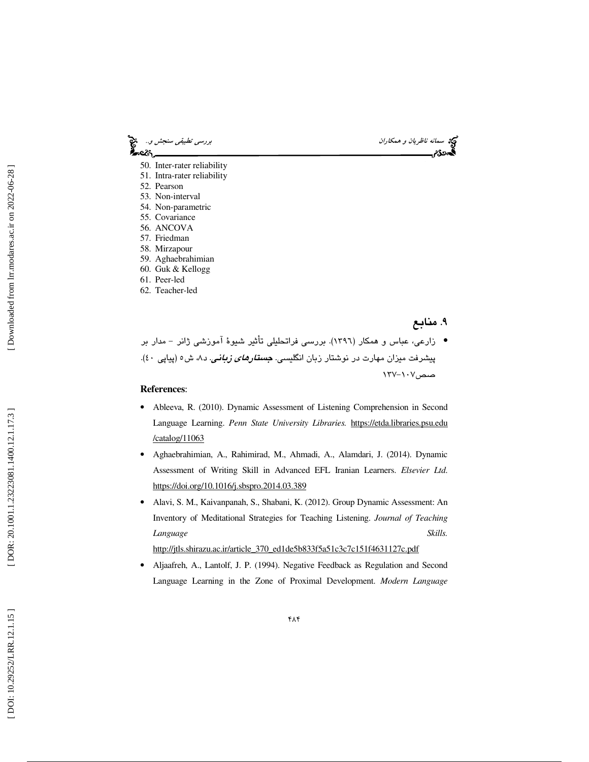

- 58. Mirzapour
- 59. Aghaebrahimian
- 60. Guk & Kellogg
- 61. Peer-led
- 62. Teacher-led

. 9 منابع

زارعي، عباس و همكار (1396). بررسي فراتحليلي تأثير شيوة آموزشي ژانر - مدار بر • پیشرفت میزان مهارت در نوشتار زبان انگلیسی. *جستارهای زبانی.* د۸، ش٥ (پیاپی ٤٠). صص۱۰۷–۱۳۷

#### **References**:

- Ableeva, R. (2010). Dynamic Assessment of Listening Comprehension in Second Language Learning. *Penn State University Libraries.* https://etda.libraries.psu.edu /catalog/11063
- Aghaebrahimian, A., Rahimirad, M., Ahmadi, A., Alamdari, J. (2014). Dynamic Assessment of Writing Skill in Advanced EFL Iranian Learners. *Elsevier Ltd*. https://doi.org/10.1016/j.sbspro.2014.03.389
- Alavi, S. M., Kaivanpanah, S., Shabani, K. (2012). Group Dynamic Assessment: An Inventory of Meditational Strategies for Teaching Listening. *Journal of Teaching Language Skills.*

http://jtls.shirazu.ac.ir/article\_370\_ed1de5b833f5a51c3c7c151f4631127c.pdf

• Aljaafreh, A., Lantolf, J. P. (1994). Negative Feedback as Regulation and Second Language Learning in the Zone of Proximal Development. *Modern Language*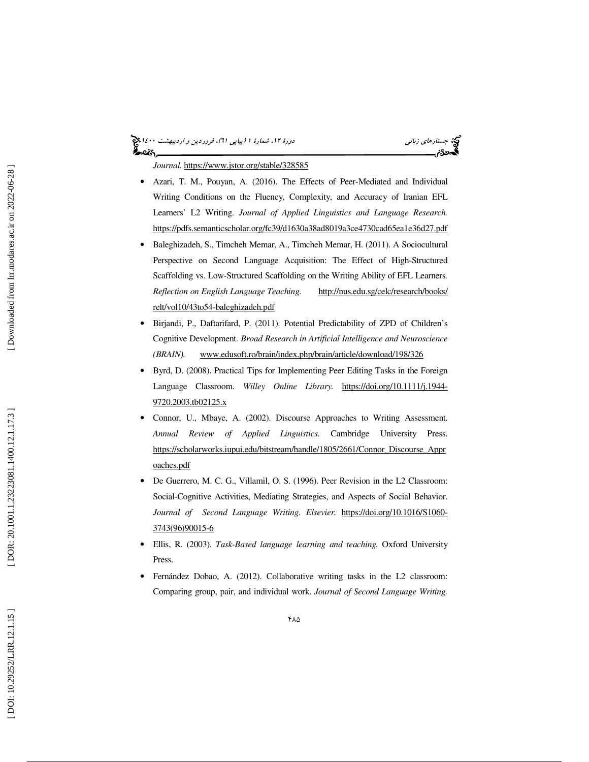## (پياپي 61)، فروردين و ارديبهشت 1400 جستارهاي زباني دورة ،12 شمارة 1

*Journal.* https://www.jstor.org/stable/328585

- Azari, T. M., Pouyan, A. (2016). The Effects of Peer-Mediated and Individual Writing Conditions on the Fluency, Complexity, and Accuracy of Iranian EFL Learners' L2 Writing. *Journal of Applied Linguistics and Language Research.*  https://pdfs.semanticscholar.org/fc39/d1630a38ad8019a3ce4730cad65ea1e36d27.pdf
- Baleghizadeh, S., Timcheh Memar, A., Timcheh Memar, H. (2011). A Sociocultural Perspective on Second Language Acquisition: The Effect of High-Structured Scaffolding vs. Low-Structured Scaffolding on the Writing Ability of EFL Learners *. Reflection on English Language Teaching.* http://nus.edu.sg/celc/research/books/ relt/vol10/43to54-baleghizadeh.pdf
- Birjandi, P., Daftarifard, P. (2011). Potential Predictability of ZPD of Children's Cognitive Development. *Broad Research in Artificial Intelligence and Neuroscience (BRAIN).* www.edusoft.ro/brain/index.php/brain/article/download/198/326
- Byrd, D. (2008). Practical Tips for Implementing Peer Editing Tasks in the Foreign Language Classroom. *Willey Online Library.* https://doi.org/10.1111/j.1944- 9720.2003.tb02125.x
- Connor, U., Mbaye, A. (2002). Discourse Approaches to Writing Assessment. *Annual Review of Applied Linguistics.* Cambridge University Press. https://scholarworks.iupui.edu/bitstream/handle/1805/2661/Connor\_Discourse\_Appr oaches.pdf
- De Guerrero, M. C. G., Villamil, O. S. (1996). Peer Revision in the L2 Classroom: Social-Cognitive Activities, Mediating Strategies, and Aspects of Social Behavior. *Journal of Second Language Writing. Elsevier.* https://doi.org/10.1016/S1060- 3743(96)90015-6
- Ellis, R. (2003). *Task-Based language learning and teaching.* Oxford University Press.
- Fernández Dobao, A. (2012). Collaborative writing tasks in the L2 classroom: Comparing group, pair, and individual work. *Journal of Second Language Writing.*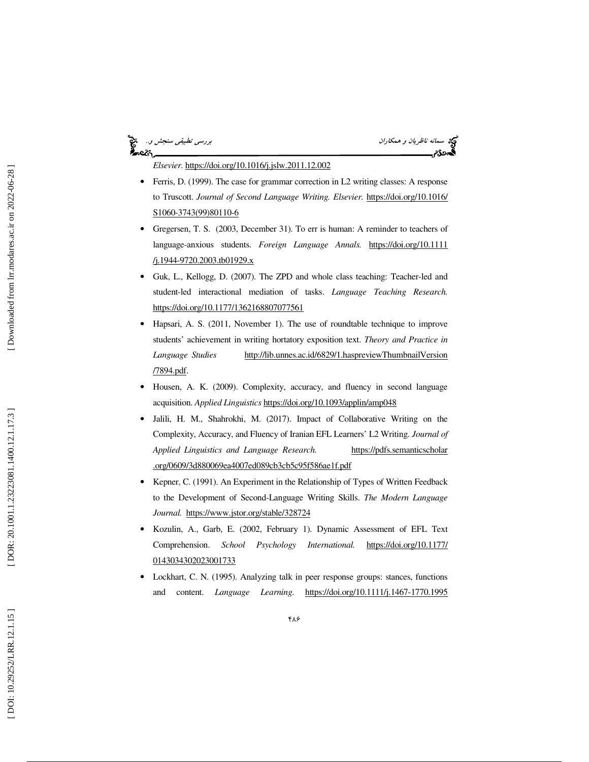### —ેલ્લે,

سمانه *ناظريان و همكاران به همكاران بررسي تطبيقي سنجش و..*<br>**بررسي تطبيقي سنجش و...**<br>**بهدودیم بررسي بررسي بررسي الله است.** 

*Elsevier.* https://doi.org/10.1016/j.jslw.2011.12.002

- Ferris, D. (1999). The case for grammar correction in L2 writing classes: A response to Truscott. *Journal of Second Language Writing. Elsevier.* https://doi.org/10.1016/ S1060-3743(99)80110-6
- Gregersen, T. S. (2003, December 31). To err is human: A reminder to teachers of language-anxious students. *Foreign Language Annals.* https://doi.org/10.1111 /j.1944-9720.2003.tb01929.x
- Guk, L., Kellogg, D. (2007). The ZPD and whole class teaching: Teacher-led and student-led interactional mediation of tasks. *Language Teaching Research.* https://doi.org/10.1177/1362168807077561
- Hapsari, A. S. (2011, November 1). The use of roundtable technique to improve students' achievement in writing hortatory exposition text. *Theory and Practice in Language Studies* http://lib.unnes.ac.id/6829/1.haspreviewThumbnailVersion /7894.pdf.
- Housen, A. K. (2009). Complexity, accuracy, and fluency in second language acquisition. *Applied Linguistics* https://doi.org/10.1093/applin/amp048
- Jalili, H. M., Shahrokhi, M. (2017). Impact of Collaborative Writing on the Complexity, Accuracy, and Fluency of Iranian EFL Learners' L2 Writing. *Journal of Applied Linguistics and Language Research.* https://pdfs.semanticscholar .org/0609/3d880069ea4007ed089cb3cb5c95f586ae1f.pdf
- Kepner, C. (1991). An Experiment in the Relationship of Types of Written Feedback to the Development of Second-Language Writing Skills. *The Modern Language Journal.* https://www.jstor.org/stable/328724
- Kozulin, A., Garb, E. (2002, February 1). Dynamic Assessment of EFL Text Comprehension. *School Psychology International.* https://doi.org/10.1177/ 0143034302023001733
- Lockhart, C. N. (1995). Analyzing talk in peer response groups: stances, functions and content. *Language Learning*. https://doi.org/10.1111/j.1467-1770.1995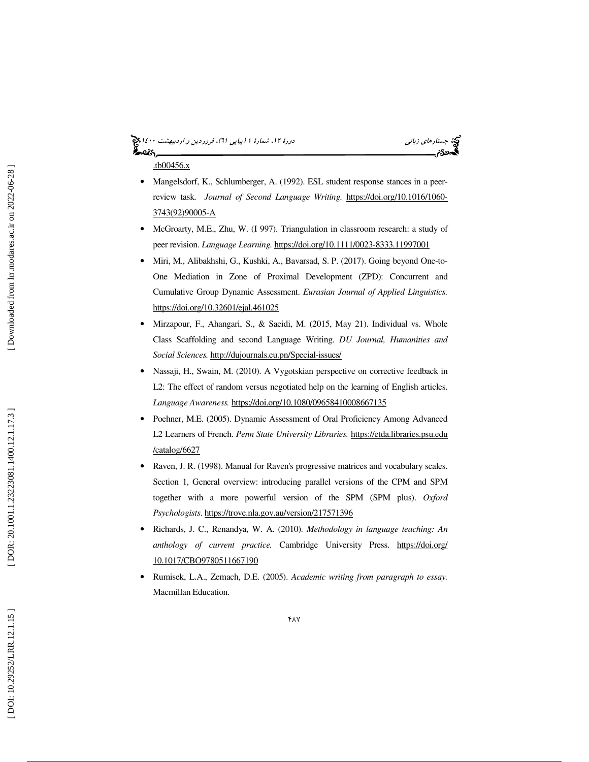# (پياپي 61)، فروردين و ارديبهشت 1400 جستارهاي زباني دورة ،12 شمارة 1

.tb00456.x

- Mangelsdorf, K., Schlumberger, A. (1992). ESL student response stances in a peerreview task. *Journal of Second Language Writing.* https://doi.org/10.1016/1060- 3743(92)90005-A
- McGroarty, M.E., Zhu, W. (I 997). Triangulation in classroom research: a study of peer revision. *Language Learning.* https://doi.org/10.1111/0023-8333.11997001
- Miri, M., Alibakhshi, G., Kushki, A., Bavarsad, S. P. (2017). Going beyond One-to-One Mediation in Zone of Proximal Development (ZPD): Concurrent and Cumulative Group Dynamic Assessment. *Eurasian Journal of Applied Linguistics.* https://doi.org/10.32601/ejal.461025
- Mirzapour, F., Ahangari, S., & Saeidi, M. (2015, May 21). Individual vs. Whole Class Scaffolding and second Language Writing. *DU Journal, Humanities and Social Sciences.* http://dujournals.eu.pn/Special-issues/
- Nassaji, H., Swain, M. (2010). A Vygotskian perspective on corrective feedback in L2: The effect of random versus negotiated help on the learning of English articles. *Language Awareness.* https://doi.org/10.1080/09658410008667135
- Poehner, M.E. (2005). Dynamic Assessment of Oral Proficiency Among Advanced L2 Learners of French. *Penn State University Libraries.* https://etda.libraries.psu.edu /catalog/6627
- Raven, J. R. (1998). Manual for Raven's progressive matrices and vocabulary scales. Section 1, General overview: introducing parallel versions of the CPM and SPM together with a more powerful version of the SPM (SPM plus). *Oxford Psychologists*. https://trove.nla.gov.au/version/217571396
- Richards, J. C., Renandya, W. A. (2010). *Methodology in language teaching: An anthology of current practice.* Cambridge University Press. https://doi.org/ 10.1017/CBO9780511667190
- Rumisek, L.A., Zemach, D.E. (2005). *Academic writing from paragraph to essay.* Macmillan Education.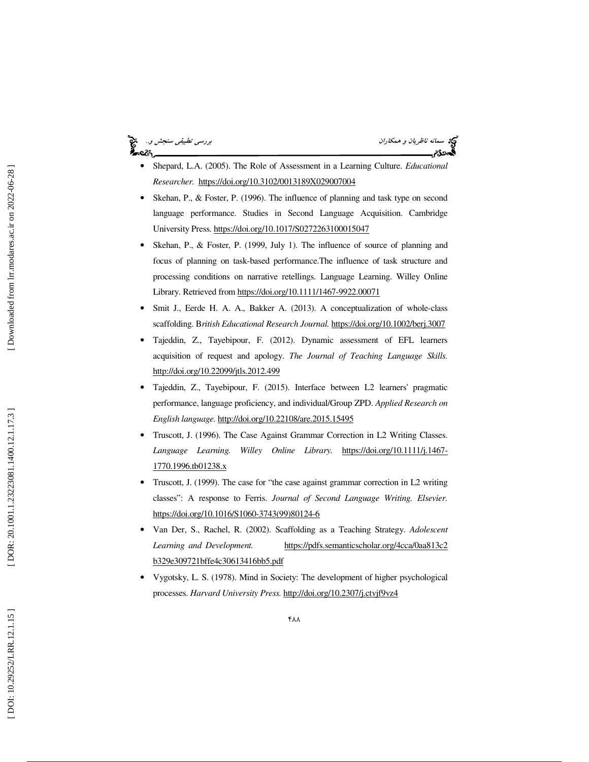### ક્ટિક,

سمانه ناظريان و همكاران بررسي تطبيقي سنجش و..<br>المجموع

- Shepard, L.A. (2005). The Role of Assessment in a Learning Culture. *Educational Researcher.* https://doi.org/10.3102/0013189X029007004
- Skehan, P., & Foster, P. (1996). The influence of planning and task type on second language performance. Studies in Second Language Acquisition. Cambridge University Press. https://doi.org/10.1017/S0272263100015047
- Skehan, P., & Foster, P. (1999, July 1). The influence of source of planning and focus of planning on task-based performance.The influence of task structure and processing conditions on narrative retellings. Language Learning. Willey Online Library. Retrieved from https://doi.org/10.1111/1467-9922.00071
- Smit J., Eerde H. A. A., Bakker A. (2013). A conceptualization of whole-class scaffolding. B*ritish Educational Research Journal.* https://doi.org/10.1002/berj.3007
- Tajeddin, Z., Tayebipour, F. (2012). Dynamic assessment of EFL learners acquisition of request and apology. *The Journal of Teaching Language Skills.* http://doi.org/10.22099/jtls.2012.499
- Tajeddin, Z., Tayebipour, F. (2015). Interface between L2 learners' pragmatic performance, language proficiency, and individual/Group ZPD. *Applied Research on English language.* http://doi.org/10.22108/are.2015.15495
- Truscott, J. (1996). The Case Against Grammar Correction in L2 Writing Classes. *Language Learning. Willey Online Library.* https://doi.org/10.1111/j.1467- 1770.1996.tb01238.x
- Truscott, J. (1999). The case for "the case against grammar correction in L2 writing classes": A response to Ferris. *Journal of Second Language Writing. Elsevier.* https://doi.org/10.1016/S1060-3743(99)80124-6
- Van Der, S., Rachel, R. (2002). Scaffolding as a Teaching Strategy. *Adolescent Learning and Development.* https://pdfs.semanticscholar.org/4cca/0aa813c2 b329e309721bffe4c30613416bb5.pdf
- Vygotsky, L. S. (1978). Mind in Society: The development of higher psychological processes. *Harvard University Press.* http://doi.org/10.2307/j.ctvjf9vz4